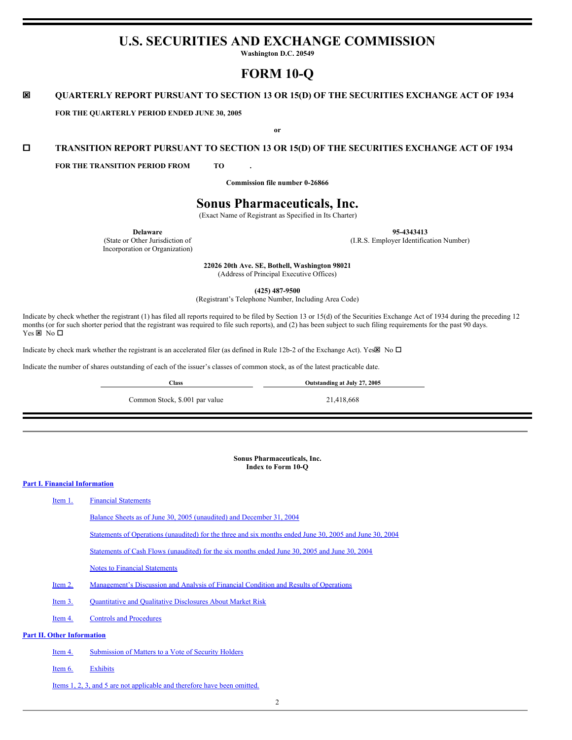# **U.S. SECURITIES AND EXCHANGE COMMISSION**

**Washington D.C. 20549**

**FORM 10-Q**

# ý **QUARTERLY REPORT PURSUANT TO SECTION 13 OR 15(D) OF THE SECURITIES EXCHANGE ACT OF 1934**

**FOR THE QUARTERLY PERIOD ENDED JUNE 30, 2005**

**or**

## o **TRANSITION REPORT PURSUANT TO SECTION 13 OR 15(D) OF THE SECURITIES EXCHANGE ACT OF 1934**

**FOR THE TRANSITION PERIOD FROM TO .**

**Commission file number 0-26866**

# **Sonus Pharmaceuticals, Inc.**

(Exact Name of Registrant as Specified in Its Charter)

**Delaware** 95-4343413<br>
(State or Other Jurisdiction of The Security of Testam of Testam Control of Testam Control of Testam Control of Testam Control of Testam Control of Testam Control of Testam Control of Testam Control Incorporation or Organization)

(I.R.S. Employer Identification Number)

**22026 20th Ave. SE, Bothell, Washington 98021** (Address of Principal Executive Offices)

**(425) 487-9500**

(Registrant's Telephone Number, Including Area Code)

Indicate by check whether the registrant (1) has filed all reports required to be filed by Section 13 or 15(d) of the Securities Exchange Act of 1934 during the preceding 12 months (or for such shorter period that the registrant was required to file such reports), and (2) has been subject to such filing requirements for the past 90 days.  $Yes \times No \Box$ 

Indicate by check mark whether the registrant is an accelerated filer (as defined in Rule 12b-2 of the Exchange Act). Yes $\boxtimes$  No  $\Box$ 

Indicate the number of shares outstanding of each of the issuer's classes of common stock, as of the latest practicable date.

**Class Outstanding at July 27, 2005**

Common Stock, \$.001 par value 21,418,668

**Sonus Pharmaceuticals, Inc. Index to Form 10-Q**

### **Part I. Financial [Information](#page-1-0)**

| Item 1.                           | <b>Financial Statements</b>                                                                             |
|-----------------------------------|---------------------------------------------------------------------------------------------------------|
|                                   | Balance Sheets as of June 30, 2005 (unaudited) and December 31, 2004                                    |
|                                   | Statements of Operations (unaudited) for the three and six months ended June 30, 2005 and June 30, 2004 |
|                                   | Statements of Cash Flows (unaudited) for the six months ended June 30, 2005 and June 30, 2004           |
|                                   | <b>Notes to Financial Statements</b>                                                                    |
| Item 2.                           | Management's Discussion and Analysis of Financial Condition and Results of Operations                   |
| Item 3.                           | <b>Quantitative and Qualitative Disclosures About Market Risk</b>                                       |
| Item 4.                           | <b>Controls and Procedures</b>                                                                          |
| <b>Part II. Other Information</b> |                                                                                                         |
| Item 4.                           | Submission of Matters to a Vote of Security Holders                                                     |
| Item 6.                           | Exhibits                                                                                                |
|                                   | Items 1, 2, 3, and 5 are not applicable and therefore have been omitted.                                |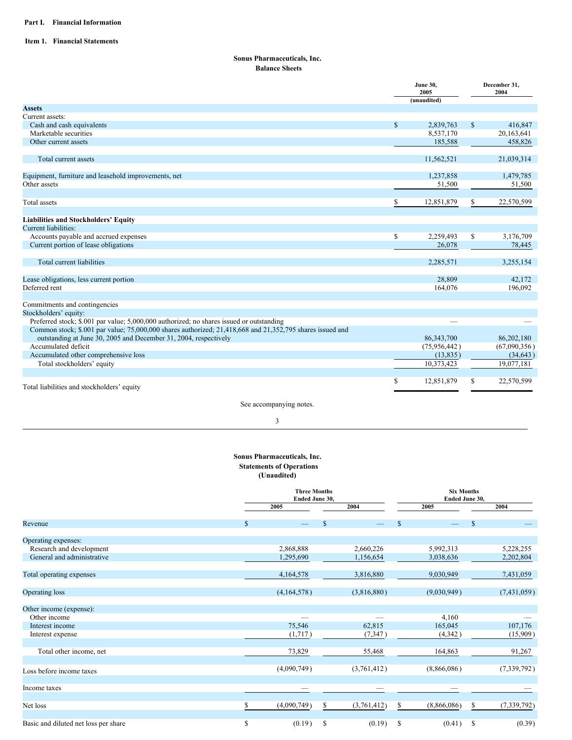# <span id="page-1-1"></span><span id="page-1-0"></span>**Item 1. Financial Statements**

# **Sonus Pharmaceuticals, Inc.**

<span id="page-1-2"></span>

|                                                                                                           | <b>June 30.</b><br>2005 |              |             | December 31,<br>2004 |
|-----------------------------------------------------------------------------------------------------------|-------------------------|--------------|-------------|----------------------|
|                                                                                                           |                         | (unaudited)  |             |                      |
| <b>Assets</b><br>Current assets:                                                                          |                         |              |             |                      |
| Cash and cash equivalents                                                                                 | $\mathbb{S}$            | 2,839,763    | $\mathbf S$ | 416,847              |
| Marketable securities                                                                                     |                         | 8,537,170    |             | 20,163,641           |
| Other current assets                                                                                      |                         | 185,588      |             | 458,826              |
|                                                                                                           |                         |              |             |                      |
| Total current assets                                                                                      |                         | 11,562,521   |             | 21,039,314           |
| Equipment, furniture and leasehold improvements, net                                                      |                         | 1,237,858    |             | 1,479,785            |
| Other assets                                                                                              |                         | 51,500       |             | 51,500               |
| <b>Total assets</b>                                                                                       | S                       | 12,851,879   | \$          | 22,570,599           |
| <b>Liabilities and Stockholders' Equity</b>                                                               |                         |              |             |                      |
| Current liabilities:                                                                                      |                         |              |             |                      |
| Accounts payable and accrued expenses                                                                     | \$                      | 2,259,493    | \$          | 3,176,709            |
| Current portion of lease obligations                                                                      |                         | 26,078       |             | 78,445               |
| Total current liabilities                                                                                 |                         | 2,285,571    |             | 3,255,154            |
| Lease obligations, less current portion                                                                   |                         | 28.809       |             | 42,172               |
| Deferred rent                                                                                             |                         | 164,076      |             | 196,092              |
| Commitments and contingencies                                                                             |                         |              |             |                      |
| Stockholders' equity:                                                                                     |                         |              |             |                      |
| Preferred stock; \$.001 par value; 5,000,000 authorized; no shares issued or outstanding                  |                         |              |             |                      |
| Common stock; \$.001 par value; 75,000,000 shares authorized; 21,418,668 and 21,352,795 shares issued and |                         |              |             |                      |
| outstanding at June 30, 2005 and December 31, 2004, respectively                                          |                         | 86, 343, 700 |             | 86,202,180           |
| Accumulated deficit                                                                                       |                         | (75,956,442) |             | (67,090,356)         |
| Accumulated other comprehensive loss                                                                      |                         | (13, 835)    |             | (34, 643)            |
| Total stockholders' equity                                                                                |                         | 10,373,423   |             | 19,077,181           |
| Total liabilities and stockholders' equity                                                                | \$                      | 12,851,879   | S           | 22,570,599           |
|                                                                                                           |                         |              |             |                      |

See accompanying notes.

3

#### <span id="page-1-3"></span>**Sonus Pharmaceuticals, Inc. Statements of Operations (Unaudited)**

|                                      | <b>Three Months</b><br>Ended June 30, |    |             | <b>Six Months</b><br>Ended June 30, |             |               |               |
|--------------------------------------|---------------------------------------|----|-------------|-------------------------------------|-------------|---------------|---------------|
|                                      | 2005                                  |    | 2004        |                                     | 2005        |               | 2004          |
| Revenue                              | \$                                    | \$ |             | -S                                  |             | \$            |               |
| Operating expenses:                  |                                       |    |             |                                     |             |               |               |
| Research and development             | 2,868,888                             |    | 2,660,226   |                                     | 5,992,313   |               | 5,228,255     |
| General and administrative           | 1,295,690                             |    | 1,156,654   |                                     | 3,038,636   |               | 2,202,804     |
| Total operating expenses             | 4,164,578                             |    | 3,816,880   |                                     | 9,030,949   |               | 7,431,059     |
| Operating loss                       | (4,164,578)                           |    | (3,816,880) |                                     | (9,030,949) |               | (7,431,059)   |
| Other income (expense):              |                                       |    |             |                                     |             |               |               |
| Other income                         |                                       |    |             |                                     | 4,160       |               |               |
| Interest income                      | 75,546                                |    | 62,815      |                                     | 165,045     |               | 107,176       |
| Interest expense                     | (1,717)                               |    | (7, 347)    |                                     | (4,342)     |               | (15,909)      |
| Total other income, net              | 73,829                                |    | 55,468      |                                     | 164,863     |               | 91,267        |
| Loss before income taxes             | (4,090,749)                           |    | (3,761,412) |                                     | (8,866,086) |               | (7,339,792)   |
| Income taxes                         | _                                     |    |             |                                     |             |               |               |
|                                      |                                       |    |             |                                     |             |               |               |
| Net loss                             | (4,090,749)                           | \$ | (3,761,412) | S                                   | (8,866,086) | \$            | (7, 339, 792) |
| Basic and diluted net loss per share | \$<br>(0.19)                          | \$ | (0.19)      | $\mathbb{S}$                        | (0.41)      | <sup>\$</sup> | (0.39)        |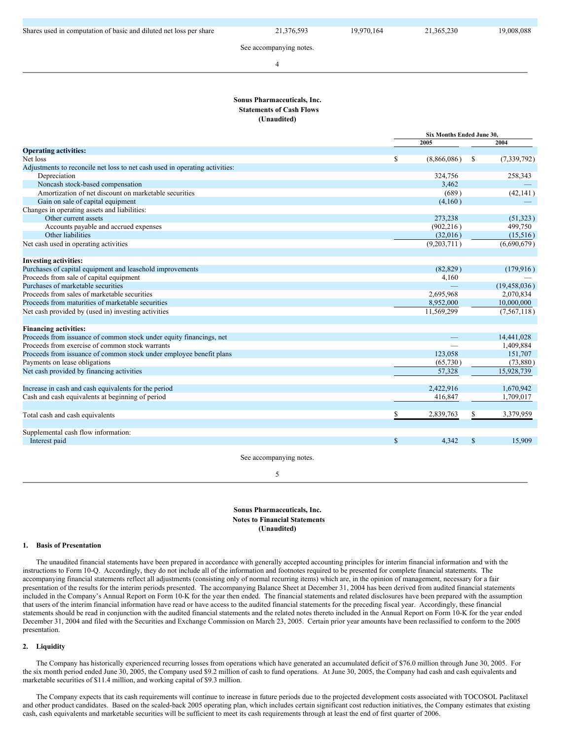See accompanying notes.

#### 4

#### <span id="page-2-0"></span>**Sonus Pharmaceuticals, Inc. Statements of Cash Flows (Unaudited)**

|                                                                             |                       | <b>Six Months Ended June 30,</b> |                |  |
|-----------------------------------------------------------------------------|-----------------------|----------------------------------|----------------|--|
|                                                                             | 2005                  |                                  | 2004           |  |
| <b>Operating activities:</b>                                                |                       |                                  |                |  |
| Net loss                                                                    | \$<br>(8,866,086)     | <sup>\$</sup>                    | (7, 339, 792)  |  |
| Adjustments to reconcile net loss to net cash used in operating activities: |                       |                                  |                |  |
| Depreciation                                                                | 324,756               |                                  | 258,343        |  |
| Noncash stock-based compensation                                            | 3.462                 |                                  |                |  |
| Amortization of net discount on marketable securities                       | (689)                 |                                  | (42, 141)      |  |
| Gain on sale of capital equipment                                           | (4,160)               |                                  |                |  |
| Changes in operating assets and liabilities:                                |                       |                                  |                |  |
| Other current assets                                                        | 273,238               |                                  | (51, 323)      |  |
| Accounts payable and accrued expenses                                       | (902, 216)            |                                  | 499,750        |  |
| Other liabilities                                                           | (32,016)              |                                  | (15,516)       |  |
| Net cash used in operating activities                                       | (9,203,711)           |                                  | (6,690,679)    |  |
| <b>Investing activities:</b>                                                |                       |                                  |                |  |
| Purchases of capital equipment and leasehold improvements                   | (82, 829)             |                                  | (179, 916)     |  |
| Proceeds from sale of capital equipment                                     | 4,160                 |                                  |                |  |
| Purchases of marketable securities                                          |                       |                                  | (19, 458, 036) |  |
| Proceeds from sales of marketable securities                                | 2,695,968             |                                  | 2,070,834      |  |
| Proceeds from maturities of marketable securities                           | 8,952,000             |                                  | 10,000,000     |  |
| Net cash provided by (used in) investing activities                         | 11,569,299            |                                  | (7,567,118)    |  |
| <b>Financing activities:</b>                                                |                       |                                  |                |  |
| Proceeds from issuance of common stock under equity financings, net         |                       |                                  | 14,441,028     |  |
| Proceeds from exercise of common stock warrants                             |                       |                                  | 1,409,884      |  |
| Proceeds from issuance of common stock under employee benefit plans         | 123,058               |                                  | 151,707        |  |
| Payments on lease obligations                                               | (65,730)              |                                  | (73,880)       |  |
| Net cash provided by financing activities                                   | 57,328                |                                  | 15,928,739     |  |
| Increase in cash and cash equivalents for the period                        | 2,422,916             |                                  | 1,670,942      |  |
| Cash and cash equivalents at beginning of period                            | 416,847               |                                  | 1,709,017      |  |
|                                                                             |                       |                                  |                |  |
| Total cash and cash equivalents                                             | \$<br>2,839,763       | \$                               | 3,379,959      |  |
| Supplemental cash flow information:                                         |                       |                                  |                |  |
| Interest paid                                                               | $\mathbb{S}$<br>4.342 | <sup>\$</sup>                    | 15,909         |  |
| See accompanying notes.                                                     |                       |                                  |                |  |

5

#### <span id="page-2-1"></span>**Sonus Pharmaceuticals, Inc. Notes to Financial Statements (Unaudited)**

#### **1. Basis of Presentation**

The unaudited financial statements have been prepared in accordance with generally accepted accounting principles for interim financial information and with the instructions to Form 10-Q. Accordingly, they do not include all of the information and footnotes required to be presented for complete financial statements. The accompanying financial statements reflect all adjustments (consisting only of normal recurring items) which are, in the opinion of management, necessary for a fair presentation of the results for the interim periods presented. The accompanying Balance Sheet at December 31, 2004 has been derived from audited financial statements included in the Company's Annual Report on Form 10-K for the year then ended. The financial statements and related disclosures have been prepared with the assumption that users of the interim financial information have read or have access to the audited financial statements for the preceding fiscal year. Accordingly, these financial statements should be read in conjunction with the audited financial statements and the related notes thereto included in the Annual Report on Form 10-K for the year ended December 31, 2004 and filed with the Securities and Exchange Commission on March 23, 2005. Certain prior year amounts have been reclassified to conform to the 2005 presentation.

#### **2. Liquidity**

The Company has historically experienced recurring losses from operations which have generated an accumulated deficit of \$76.0 million through June 30, 2005. For the six month period ended June 30, 2005, the Company used \$9.2 million of cash to fund operations. At June 30, 2005, the Company had cash and cash equivalents and marketable securities of \$11.4 million, and working capital of \$9.3 million.

The Company expects that its cash requirements will continue to increase in future periods due to the projected development costs associated with TOCOSOL Paclitaxel and other product candidates. Based on the scaled-back 2005 operating plan, which includes certain significant cost reduction initiatives, the Company estimates that existing cash, cash equivalents and marketable securities will be sufficient to meet its cash requirements through at least the end of first quarter of 2006.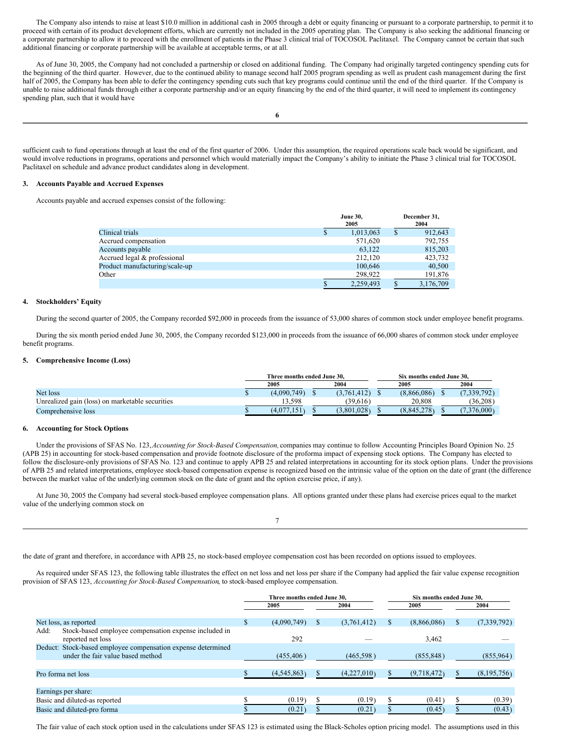The Company also intends to raise at least \$10.0 million in additional cash in 2005 through a debt or equity financing or pursuant to a corporate partnership, to permit it to proceed with certain of its product development efforts, which are currently not included in the 2005 operating plan. The Company is also seeking the additional financing or a corporate partnership to allow it to proceed with the enrollment of patients in the Phase 3 clinical trial of TOCOSOL Paclitaxel. The Company cannot be certain that such additional financing or corporate partnership will be available at acceptable terms, or at all.

As of June 30, 2005, the Company had not concluded a partnership or closed on additional funding. The Company had originally targeted contingency spending cuts for the beginning of the third quarter. However, due to the continued ability to manage second half 2005 program spending as well as prudent cash management during the first half of 2005, the Company has been able to defer the contingency spending cuts such that key programs could continue until the end of the third quarter. If the Company is unable to raise additional funds through either a corporate partnership and/or an equity financing by the end of the third quarter, it will need to implement its contingency spending plan, such that it would have

sufficient cash to fund operations through at least the end of the first quarter of 2006. Under this assumption, the required operations scale back would be significant, and would involve reductions in programs, operations and personnel which would materially impact the Company's ability to initiate the Phase 3 clinical trial for TOCOSOL Paclitaxel on schedule and advance product candidates along in development.

#### **3. Accounts Payable and Accrued Expenses**

Accounts payable and accrued expenses consist of the following:

|                                |   | <b>June 30,</b><br>2005 |   | December 31,<br>2004 |
|--------------------------------|---|-------------------------|---|----------------------|
| Clinical trials                | S | 1,013,063               | S | 912,643              |
| Accrued compensation           |   | 571,620                 |   | 792.755              |
| Accounts payable               |   | 63.122                  |   | 815,203              |
| Accrued legal & professional   |   | 212,120                 |   | 423,732              |
| Product manufacturing/scale-up |   | 100,646                 |   | 40,500               |
| Other                          |   | 298,922                 |   | 191,876              |
|                                |   | 2.259,493               |   | 3,176,709            |

#### **4. Stockholders' Equity**

During the second quarter of 2005, the Company recorded \$92,000 in proceeds from the issuance of 53,000 shares of common stock under employee benefit programs.

During the six month period ended June 30, 2005, the Company recorded \$123,000 in proceeds from the issuance of 66,000 shares of common stock under employee benefit programs.

#### **5. Comprehensive Income (Loss)**

|                                                 | Three months ended June 30. |             |  |             | Six months ended June 30. |             |  |             |
|-------------------------------------------------|-----------------------------|-------------|--|-------------|---------------------------|-------------|--|-------------|
|                                                 |                             | 2005        |  | 2004        |                           | 2005        |  | 2004        |
| Net loss                                        |                             | (4.090.749) |  | (3.761.412) |                           | (8,866,086) |  | (7.339.792) |
| Unrealized gain (loss) on marketable securities |                             | 13.598      |  | (39.616)    |                           | 20,808      |  | (36.208)    |
| Comprehensive loss                              |                             | (4,077,151) |  | (3,801,028) |                           | (8.845.278) |  | 7.376.000)  |

#### **6. Accounting for Stock Options**

Under the provisions of SFAS No. 123,*Accounting for Stock-Based Compensation,* companies may continue to follow Accounting Principles Board Opinion No. 25 (APB 25) in accounting for stock-based compensation and provide footnote disclosure of the proforma impact of expensing stock options. The Company has elected to follow the disclosure-only provisions of SFAS No. 123 and continue to apply APB 25 and related interpretations in accounting for its stock option plans. Under the provisions of APB 25 and related interpretations, employee stock-based compensation expense is recognized based on the intrinsic value of the option on the date of grant (the difference between the market value of the underlying common stock on the date of grant and the option exercise price, if any).

At June 30, 2005 the Company had several stock-based employee compensation plans. All options granted under these plans had exercise prices equal to the market value of the underlying common stock on

7

the date of grant and therefore, in accordance with APB 25, no stock-based employee compensation cost has been recorded on options issued to employees.

As required under SFAS 123, the following table illustrates the effect on net loss and net loss per share if the Company had applied the fair value expense recognition provision of SFAS 123, *Accounting for Stock-Based Compensation*, to stock-based employee compensation.

|                                                                                                   | Three months ended June 30. |             |   |             | Six months ended June 30. |             |    |               |  |
|---------------------------------------------------------------------------------------------------|-----------------------------|-------------|---|-------------|---------------------------|-------------|----|---------------|--|
|                                                                                                   | 2005                        |             |   | 2004        |                           | 2005        |    | 2004          |  |
| Net loss, as reported                                                                             | ж                           | (4,090,749) | S | (3,761,412) |                           | (8,866,086) | \$ | (7, 339, 792) |  |
| Stock-based employee compensation expense included in<br>Add:<br>reported net loss                |                             | 292         |   |             |                           | 3,462       |    |               |  |
| Deduct: Stock-based employee compensation expense determined<br>under the fair value based method |                             | (455, 406)  |   | (465, 598)  |                           | (855, 848)  |    | (855,964)     |  |
| Pro forma net loss                                                                                |                             | (4,545,863) |   | (4,227,010) |                           | (9,718,472) |    | (8,195,756)   |  |
| Earnings per share:                                                                               |                             |             |   |             |                           |             |    |               |  |
| Basic and diluted-as reported                                                                     |                             | (0.19)      |   | (0.19)      |                           | (0.41)      |    | (0.39)        |  |
| Basic and diluted-pro forma                                                                       |                             | (0.21)      |   | (0.21)      |                           | (0.45)      |    | (0.43)        |  |

The fair value of each stock option used in the calculations under SFAS 123 is estimated using the Black-Scholes option pricing model. The assumptions used in this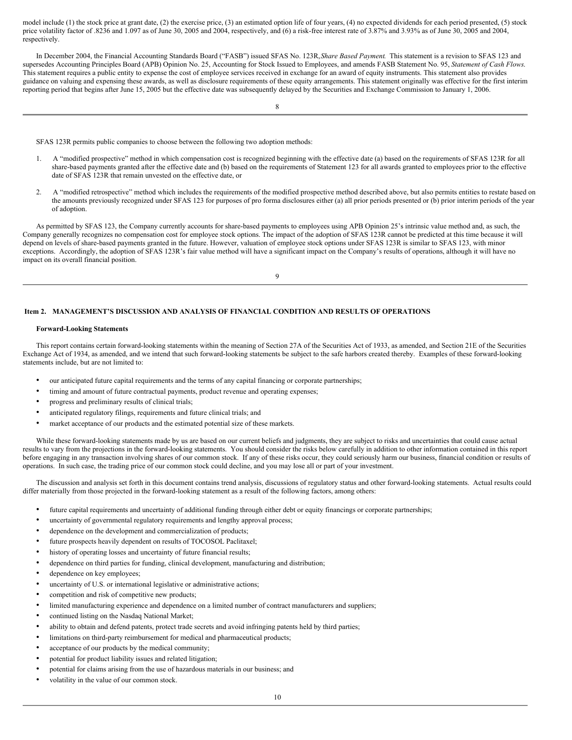model include (1) the stock price at grant date, (2) the exercise price, (3) an estimated option life of four years, (4) no expected dividends for each period presented, (5) stock price volatility factor of .8236 and 1.097 as of June 30, 2005 and 2004, respectively, and (6) a risk-free interest rate of 3.87% and 3.93% as of June 30, 2005 and 2004, respectively.

In December 2004, the Financial Accounting Standards Board ("FASB") issued SFAS No. 123R,*Share Based Payment*. This statement is a revision to SFAS 123 and supersedes Accounting Principles Board (APB) Opinion No. 25, Accounting for Stock Issued to Employees, and amends FASB Statement No. 95, *Statement of Cash Flows*. This statement requires a public entity to expense the cost of employee services received in exchange for an award of equity instruments. This statement also provides guidance on valuing and expensing these awards, as well as disclosure requirements of these equity arrangements. This statement originally was effective for the first interim reporting period that begins after June 15, 2005 but the effective date was subsequently delayed by the Securities and Exchange Commission to January 1, 2006.

SFAS 123R permits public companies to choose between the following two adoption methods:

- 1. A "modified prospective" method in which compensation cost is recognized beginning with the effective date (a) based on the requirements of SFAS 123R for all share-based payments granted after the effective date and (b) based on the requirements of Statement 123 for all awards granted to employees prior to the effective date of SFAS 123R that remain unvested on the effective date, or
- 2. A "modified retrospective" method which includes the requirements of the modified prospective method described above, but also permits entities to restate based on the amounts previously recognized under SFAS 123 for purposes of pro forma disclosures either (a) all prior periods presented or (b) prior interim periods of the year of adoption.

As permitted by SFAS 123, the Company currently accounts for share-based payments to employees using APB Opinion 25's intrinsic value method and, as such, the Company generally recognizes no compensation cost for employee stock options. The impact of the adoption of SFAS 123R cannot be predicted at this time because it will depend on levels of share-based payments granted in the future. However, valuation of employee stock options under SFAS 123R is similar to SFAS 123, with minor exceptions. Accordingly, the adoption of SFAS 123R's fair value method will have a significant impact on the Company's results of operations, although it will have no impact on its overall financial position.

9

#### <span id="page-4-0"></span>**Item 2. MANAGEMENT'S DISCUSSION AND ANALYSIS OF FINANCIAL CONDITION AND RESULTS OF OPERATIONS**

#### **Forward-Looking Statements**

This report contains certain forward-looking statements within the meaning of Section 27A of the Securities Act of 1933, as amended, and Section 21E of the Securities Exchange Act of 1934, as amended, and we intend that such forward-looking statements be subject to the safe harbors created thereby. Examples of these forward-looking statements include, but are not limited to:

- our anticipated future capital requirements and the terms of any capital financing or corporate partnerships;
- timing and amount of future contractual payments, product revenue and operating expenses;
- progress and preliminary results of clinical trials;
- anticipated regulatory filings, requirements and future clinical trials; and
- market acceptance of our products and the estimated potential size of these markets.

While these forward-looking statements made by us are based on our current beliefs and judgments, they are subject to risks and uncertainties that could cause actual results to vary from the projections in the forward-looking statements. You should consider the risks below carefully in addition to other information contained in this report before engaging in any transaction involving shares of our common stock. If any of these risks occur, they could seriously harm our business, financial condition or results of operations. In such case, the trading price of our common stock could decline, and you may lose all or part of your investment.

The discussion and analysis set forth in this document contains trend analysis, discussions of regulatory status and other forward-looking statements. Actual results could differ materially from those projected in the forward-looking statement as a result of the following factors, among others:

- future capital requirements and uncertainty of additional funding through either debt or equity financings or corporate partnerships;
- uncertainty of governmental regulatory requirements and lengthy approval process;
- dependence on the development and commercialization of products;
- future prospects heavily dependent on results of TOCOSOL Paclitaxel;
- history of operating losses and uncertainty of future financial results;
- dependence on third parties for funding, clinical development, manufacturing and distribution;
- dependence on key employees;
- uncertainty of U.S. or international legislative or administrative actions;
- competition and risk of competitive new products;
- limited manufacturing experience and dependence on a limited number of contract manufacturers and suppliers;
- continued listing on the Nasdaq National Market;
- ability to obtain and defend patents, protect trade secrets and avoid infringing patents held by third parties;
- limitations on third-party reimbursement for medical and pharmaceutical products;
- acceptance of our products by the medical community;
- potential for product liability issues and related litigation;
- potential for claims arising from the use of hazardous materials in our business; and
- volatility in the value of our common stock.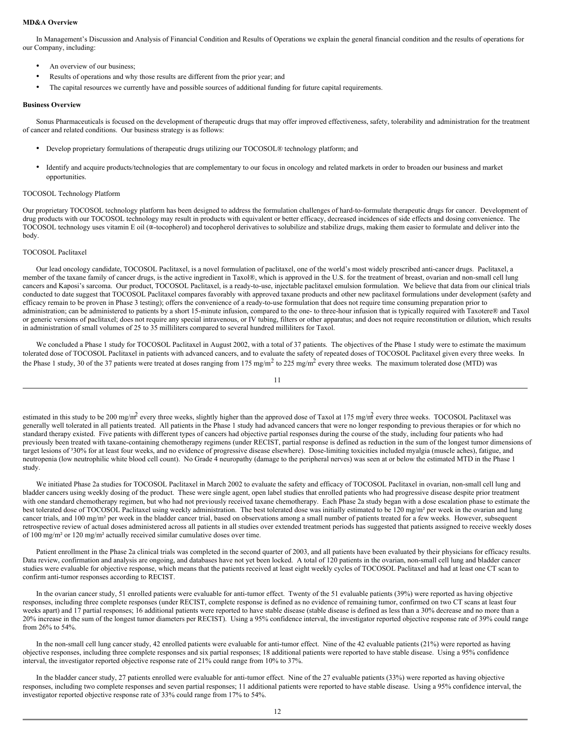#### **MD&A Overview**

In Management's Discussion and Analysis of Financial Condition and Results of Operations we explain the general financial condition and the results of operations for our Company, including:

- An overview of our business;
- Results of operations and why those results are different from the prior year; and
- The capital resources we currently have and possible sources of additional funding for future capital requirements.

#### **Business Overview**

Sonus Pharmaceuticals is focused on the development of therapeutic drugs that may offer improved effectiveness, safety, tolerability and administration for the treatment of cancer and related conditions. Our business strategy is as follows:

- Develop proprietary formulations of therapeutic drugs utilizing our TOCOSOL® technology platform; and
- Identify and acquire products/technologies that are complementary to our focus in oncology and related markets in order to broaden our business and market opportunities.

#### TOCOSOL Technology Platform

Our proprietary TOCOSOL technology platform has been designed to address the formulation challenges of hard-to-formulate therapeutic drugs for cancer. Development of drug products with our TOCOSOL technology may result in products with equivalent or better efficacy, decreased incidences of side effects and dosing convenience. The TOCOSOL technology uses vitamin E oil (a-tocopherol) and tocopherol derivatives to solubilize and stabilize drugs, making them easier to formulate and deliver into the body.

#### TOCOSOL Paclitaxel

Our lead oncology candidate, TOCOSOL Paclitaxel, is a novel formulation of paclitaxel, one of the world's most widely prescribed anti-cancer drugs. Paclitaxel, a member of the taxane family of cancer drugs, is the active ingredient in Taxol®, which is approved in the U.S. for the treatment of breast, ovarian and non-small cell lung cancers and Kaposi's sarcoma. Our product, TOCOSOL Paclitaxel, is a ready-to-use, injectable paclitaxel emulsion formulation. We believe that data from our clinical trials conducted to date suggest that TOCOSOL Paclitaxel compares favorably with approved taxane products and other new paclitaxel formulations under development (safety and efficacy remain to be proven in Phase 3 testing); offers the convenience of a ready-to-use formulation that does not require time consuming preparation prior to administration; can be administered to patients by a short 15-minute infusion, compared to the one- to three-hour infusion that is typically required with Taxotere® and Taxol or generic versions of paclitaxel; does not require any special intravenous, or IV tubing, filters or other apparatus; and does not require reconstitution or dilution, which results in administration of small volumes of 25 to 35 milliliters compared to several hundred milliliters for Taxol.

We concluded a Phase 1 study for TOCOSOL Paclitaxel in August 2002, with a total of 37 patients. The objectives of the Phase 1 study were to estimate the maximum tolerated dose of TOCOSOL Paclitaxel in patients with advanced cancers, and to evaluate the safety of repeated doses of TOCOSOL Paclitaxel given every three weeks. In the Phase 1 study, 30 of the 37 patients were treated at doses ranging from 175 mg/m<sup>2</sup> to 225 mg/m<sup>2</sup> every three weeks. The maximum tolerated dose (MTD) was

11

estimated in this study to be 200 mg/m<sup>2</sup> every three weeks, slightly higher than the approved dose of Taxol at 175 mg/m<sup>2</sup> every three weeks. TOCOSOL Paclitaxel was generally well tolerated in all patients treated. All patients in the Phase 1 study had advanced cancers that were no longer responding to previous therapies or for which no standard therapy existed. Five patients with different types of cancers had objective partial responses during the course of the study, including four patients who had previously been treated with taxane-containing chemotherapy regimens (under RECIST, partial response is defined as reduction in the sum of the longest tumor dimensions of target lesions of 330% for at least four weeks, and no evidence of progressive disease elsewhere). Dose-limiting toxicities included myalgia (muscle aches), fatigue, and neutropenia (low neutrophilic white blood cell count). No Grade 4 neuropathy (damage to the peripheral nerves) was seen at or below the estimated MTD in the Phase 1 study.

We initiated Phase 2a studies for TOCOSOL Paclitaxel in March 2002 to evaluate the safety and efficacy of TOCOSOL Paclitaxel in ovarian, non-small cell lung and bladder cancers using weekly dosing of the product. These were single agent, open label studies that enrolled patients who had progressive disease despite prior treatment with one standard chemotherapy regimen, but who had not previously received taxane chemotherapy. Each Phase 2a study began with a dose escalation phase to estimate the best tolerated dose of TOCOSOL Paclitaxel using weekly administration. The best tolerated dose was initially estimated to be 120 mg/m<sup>2</sup> per week in the ovarian and lung cancer trials, and 100 mg/m<sup>2</sup> per week in the bladder cancer trial, based on observations among a small number of patients treated for a few weeks. However, subsequent retrospective review of actual doses administered across all patients in all studies over extended treatment periods has suggested that patients assigned to receive weekly doses of 100 mg/m² or 120 mg/m² actually received similar cumulative doses over time.

Patient enrollment in the Phase 2a clinical trials was completed in the second quarter of 2003, and all patients have been evaluated by their physicians for efficacy results. Data review, confirmation and analysis are ongoing, and databases have not yet been locked. A total of 120 patients in the ovarian, non-small cell lung and bladder cancer studies were evaluable for objective response, which means that the patients received at least eight weekly cycles of TOCOSOL Paclitaxel and had at least one CT scan to confirm anti-tumor responses according to RECIST.

In the ovarian cancer study, 51 enrolled patients were evaluable for anti-tumor effect. Twenty of the 51 evaluable patients (39%) were reported as having objective responses, including three complete responses (under RECIST, complete response is defined as no evidence of remaining tumor, confirmed on two CT scans at least four weeks apart) and 17 partial responses; 16 additional patients were reported to have stable disease (stable disease is defined as less than a 30% decrease and no more than a 20% increase in the sum of the longest tumor diameters per RECIST). Using a 95% confidence interval, the investigator reported objective response rate of 39% could range from 26% to 54%.

In the non-small cell lung cancer study, 42 enrolled patients were evaluable for anti-tumor effect. Nine of the 42 evaluable patients (21%) were reported as having objective responses, including three complete responses and six partial responses; 18 additional patients were reported to have stable disease. Using a 95% confidence interval, the investigator reported objective response rate of 21% could range from 10% to 37%.

In the bladder cancer study, 27 patients enrolled were evaluable for anti-tumor effect. Nine of the 27 evaluable patients (33%) were reported as having objective responses, including two complete responses and seven partial responses; 11 additional patients were reported to have stable disease. Using a 95% confidence interval, the investigator reported objective response rate of 33% could range from 17% to 54%.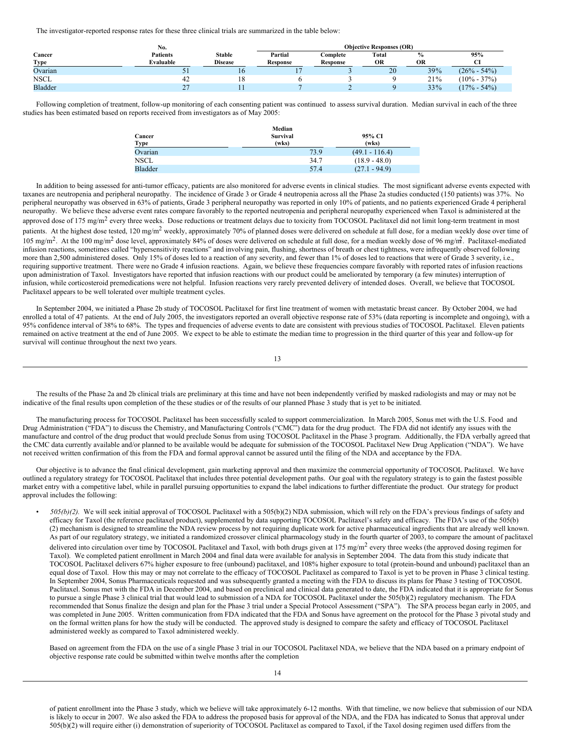The investigator-reported response rates for these three clinical trials are summarized in the table below:

|                | No.             |                | <b>Objective Responses (OR)</b> |                 |       |               |                 |  |  |  |  |  |
|----------------|-----------------|----------------|---------------------------------|-----------------|-------|---------------|-----------------|--|--|--|--|--|
| Cancer         | <b>Patients</b> | <b>Stable</b>  | Partial                         | Complete        | Total | $\frac{0}{0}$ | 95%             |  |  |  |  |  |
| Type           | Evaluable       | <b>Disease</b> | <b>Response</b>                 | <b>Response</b> | OR    | OR            |                 |  |  |  |  |  |
| Ovarian        |                 | 16             |                                 |                 | 20    | 39%           | $(26\% - 54\%)$ |  |  |  |  |  |
| <b>NSCL</b>    | 42              |                |                                 |                 |       | 21%           | $(10\% - 37\%)$ |  |  |  |  |  |
| <b>Bladder</b> | $\sim$          |                |                                 |                 |       | 33%           | $(17\% - 54\%)$ |  |  |  |  |  |

Following completion of treatment, follow-up monitoring of each consenting patient was continued to assess survival duration. Median survival in each of the three studies has been estimated based on reports received from investigators as of May 2005:

|         | Median   |                  |  |
|---------|----------|------------------|--|
| Cancer  | Survival | 95% CI           |  |
| Type    | (wks)    | (wks)            |  |
| Ovarian | 73.9     | $(49.1 - 116.4)$ |  |
| NSCL    | 34.7     | $(18.9 - 48.0)$  |  |
| Bladder | 57.4     | $(27.1 - 94.9)$  |  |

In addition to being assessed for anti-tumor efficacy, patients are also monitored for adverse events in clinical studies. The most significant adverse events expected with taxanes are neutropenia and peripheral neuropathy. The incidence of Grade 3 or Grade 4 neutropenia across all the Phase 2a studies conducted (150 patients) was 37%. No peripheral neuropathy was observed in 63% of patients, Grade 3 peripheral neuropathy was reported in only 10% of patients, and no patients experienced Grade 4 peripheral neuropathy. We believe these adverse event rates compare favorably to the reported neutropenia and peripheral neuropathy experienced when Taxol is administered at the approved dose of 175 mg/m<sup>2</sup> every three weeks. Dose reductions or treatment delays due to toxicity from TOCOSOL Paclitaxel did not limit long-term treatment in most patients. At the highest dose tested, 120 mg/m<sup>2</sup> weekly, approximately 70% of planned doses were delivered on schedule at full dose, for a median weekly dose over time of 105 mg/m<sup>2</sup>. At the 100 mg/m<sup>2</sup> dose level, approximately 84% of doses were delivered on schedule at full dose, for a median weekly dose of 96 mg/m<sup>2</sup>. Paclitaxel-mediated infusion reactions, sometimes called "hypersensitivity reactions" and involving pain, flushing, shortness of breath or chest tightness, were infrequently observed following more than 2,500 administered doses. Only 15% of doses led to a reaction of any severity, and fewer than 1% of doses led to reactions that were of Grade 3 severity, i.e., requiring supportive treatment. There were no Grade 4 infusion reactions. Again, we believe these frequencies compare favorably with reported rates of infusion reactions upon administration of Taxol. Investigators have reported that infusion reactions with our product could be ameliorated by temporary (a few minutes) interruption of infusion, while corticosteroid premedications were not helpful. Infusion reactions very rarely prevented delivery of intended doses. Overall, we believe that TOCOSOL Paclitaxel appears to be well tolerated over multiple treatment cycles.

In September 2004, we initiated a Phase 2b study of TOCOSOL Paclitaxel for first line treatment of women with metastatic breast cancer. By October 2004, we had enrolled a total of 47 patients. At the end of July 2005, the investigators reported an overall objective response rate of 53% (data reporting is incomplete and ongoing), with a 95% confidence interval of 38% to 68%. The types and frequencies of adverse events to date are consistent with previous studies of TOCOSOL Paclitaxel. Eleven patients remained on active treatment at the end of June 2005. We expect to be able to estimate the median time to progression in the third quarter of this year and follow-up for survival will continue throughout the next two years.

13

The results of the Phase 2a and 2b clinical trials are preliminary at this time and have not been independently verified by masked radiologists and may or may not be indicative of the final results upon completion of the these studies or of the results of our planned Phase 3 study that is yet to be initiated.

The manufacturing process for TOCOSOL Paclitaxel has been successfully scaled to support commercialization. In March 2005, Sonus met with the U.S. Food and Drug Administration ("FDA") to discuss the Chemistry, and Manufacturing Controls ("CMC") data for the drug product. The FDA did not identify any issues with the manufacture and control of the drug product that would preclude Sonus from using TOCOSOL Paclitaxel in the Phase 3 program. Additionally, the FDA verbally agreed that the CMC data currently available and/or planned to be available would be adequate for submission of the TOCOSOL Paclitaxel New Drug Application ("NDA"). We have not received written confirmation of this from the FDA and formal approval cannot be assured until the filing of the NDA and acceptance by the FDA.

Our objective is to advance the final clinical development, gain marketing approval and then maximize the commercial opportunity of TOCOSOL Paclitaxel. We have outlined a regulatory strategy for TOCOSOL Paclitaxel that includes three potential development paths. Our goal with the regulatory strategy is to gain the fastest possible market entry with a competitive label, while in parallel pursuing opportunities to expand the label indications to further differentiate the product. Our strategy for product approval includes the following:

• *505(b)(2).* We will seek initial approval of TOCOSOL Paclitaxel with a 505(b)(2) NDA submission, which will rely on the FDA's previous findings of safety and efficacy for Taxol (the reference paclitaxel product), supplemented by data supporting TOCOSOL Paclitaxel's safety and efficacy. The FDA's use of the 505(b) (2) mechanism is designed to streamline the NDA review process by not requiring duplicate work for active pharmaceutical ingredients that are already well known. As part of our regulatory strategy, we initiated a randomized crossover clinical pharmacology study in the fourth quarter of 2003, to compare the amount of paclitaxel delivered into circulation over time by TOCOSOL Paclitaxel and Taxol, with both drugs given at 175 mg/m<sup>2</sup> every three weeks (the approved dosing regimen for Taxol). We completed patient enrollment in March 2004 and final data were available for analysis in September 2004. The data from this study indicate that TOCOSOL Paclitaxel delivers 67% higher exposure to free (unbound) paclitaxel, and 108% higher exposure to total (protein-bound and unbound) paclitaxel than an equal dose of Taxol. How this may or may not correlate to the efficacy of TOCOSOL Paclitaxel as compared to Taxol is yet to be proven in Phase 3 clinical testing. In September 2004, Sonus Pharmaceuticals requested and was subsequently granted a meeting with the FDA to discuss its plans for Phase 3 testing of TOCOSOL Paclitaxel. Sonus met with the FDA in December 2004, and based on preclinical and clinical data generated to date, the FDA indicated that it is appropriate for Sonus to pursue a single Phase 3 clinical trial that would lead to submission of a NDA for TOCOSOL Paclitaxel under the 505(b)(2) regulatory mechanism. The FDA recommended that Sonus finalize the design and plan for the Phase 3 trial under a Special Protocol Assessment ("SPA"). The SPA process began early in 2005, and was completed in June 2005. Written communication from FDA indicated that the FDA and Sonus have agreement on the protocol for the Phase 3 pivotal study and on the formal written plans for how the study will be conducted. The approved study is designed to compare the safety and efficacy of TOCOSOL Paclitaxel administered weekly as compared to Taxol administered weekly.

Based on agreement from the FDA on the use of a single Phase 3 trial in our TOCOSOL Paclitaxel NDA, we believe that the NDA based on a primary endpoint of objective response rate could be submitted within twelve months after the completion

of patient enrollment into the Phase 3 study, which we believe will take approximately 6-12 months. With that timeline, we now believe that submission of our NDA is likely to occur in 2007. We also asked the FDA to address the proposed basis for approval of the NDA, and the FDA has indicated to Sonus that approval under 505(b)(2) will require either (i) demonstration of superiority of TOCOSOL Paclitaxel as compared to Taxol, if the Taxol dosing regimen used differs from the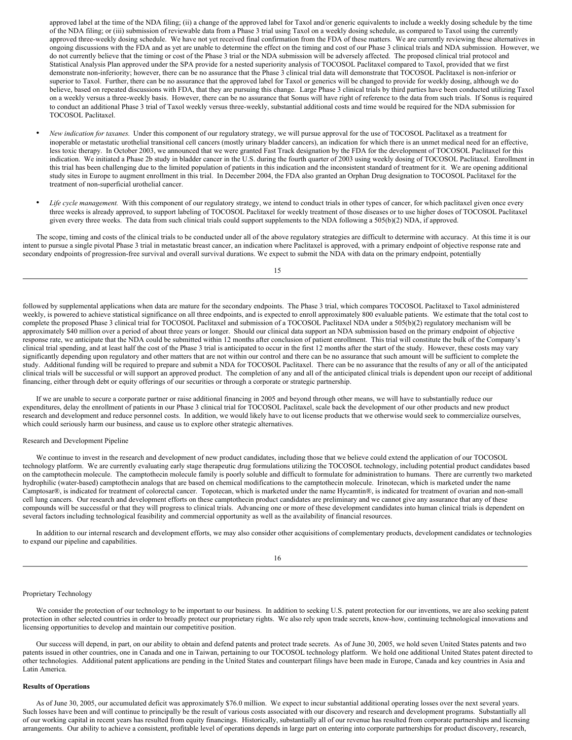approved label at the time of the NDA filing; (ii) a change of the approved label for Taxol and/or generic equivalents to include a weekly dosing schedule by the time of the NDA filing; or (iii) submission of reviewable data from a Phase 3 trial using Taxol on a weekly dosing schedule, as compared to Taxol using the currently approved three-weekly dosing schedule. We have not yet received final confirmation from the FDA of these matters. We are currently reviewing these alternatives in ongoing discussions with the FDA and as yet are unable to determine the effect on the timing and cost of our Phase 3 clinical trials and NDA submission. However, we do not currently believe that the timing or cost of the Phase 3 trial or the NDA submission will be adversely affected. The proposed clinical trial protocol and Statistical Analysis Plan approved under the SPA provide for a nested superiority analysis of TOCOSOL Paclitaxel compared to Taxol, provided that we first demonstrate non-inferiority; however, there can be no assurance that the Phase 3 clinical trial data will demonstrate that TOCOSOL Paclitaxel is non-inferior or superior to Taxol. Further, there can be no assurance that the approved label for Taxol or generics will be changed to provide for weekly dosing, although we do believe, based on repeated discussions with FDA, that they are pursuing this change. Large Phase 3 clinical trials by third parties have been conducted utilizing Taxol on a weekly versus a three-weekly basis. However, there can be no assurance that Sonus will have right of reference to the data from such trials. If Sonus is required to conduct an additional Phase 3 trial of Taxol weekly versus three-weekly, substantial additional costs and time would be required for the NDA submission for TOCOSOL Paclitaxel.

- *New indication for taxanes.* Under this component of our regulatory strategy, we will pursue approval for the use of TOCOSOL Paclitaxel as a treatment for inoperable or metastatic urothelial transitional cell cancers (mostly urinary bladder cancers), an indication for which there is an unmet medical need for an effective, less toxic therapy. In October 2003, we announced that we were granted Fast Track designation by the FDA for the development of TOCOSOL Paclitaxel for this indication. We initiated a Phase 2b study in bladder cancer in the U.S. during the fourth quarter of 2003 using weekly dosing of TOCOSOL Paclitaxel. Enrollment in this trial has been challenging due to the limited population of patients in this indication and the inconsistent standard of treatment for it. We are opening additional study sites in Europe to augment enrollment in this trial. In December 2004, the FDA also granted an Orphan Drug designation to TOCOSOL Paclitaxel for the treatment of non-superficial urothelial cancer.
- *Life cycle management.* With this component of our regulatory strategy, we intend to conduct trials in other types of cancer, for which paclitaxel given once every three weeks is already approved, to support labeling of TOCOSOL Paclitaxel for weekly treatment of those diseases or to use higher doses of TOCOSOL Paclitaxel given every three weeks. The data from such clinical trials could support supplements to the NDA following a 505(b)(2) NDA, if approved.

The scope, timing and costs of the clinical trials to be conducted under all of the above regulatory strategies are difficult to determine with accuracy. At this time it is our intent to pursue a single pivotal Phase 3 trial in metastatic breast cancer, an indication where Paclitaxel is approved, with a primary endpoint of objective response rate and secondary endpoints of progression-free survival and overall survival durations. We expect to submit the NDA with data on the primary endpoint, potentially

15

followed by supplemental applications when data are mature for the secondary endpoints. The Phase 3 trial, which compares TOCOSOL Paclitaxel to Taxol administered weekly, is powered to achieve statistical significance on all three endpoints, and is expected to enroll approximately 800 evaluable patients. We estimate that the total cost to complete the proposed Phase 3 clinical trial for TOCOSOL Paclitaxel and submission of a TOCOSOL Paclitaxel NDA under a 505(b)(2) regulatory mechanism will be approximately \$40 million over a period of about three years or longer. Should our clinical data support an NDA submission based on the primary endpoint of objective response rate, we anticipate that the NDA could be submitted within 12 months after conclusion of patient enrollment. This trial will constitute the bulk of the Company's clinical trial spending, and at least half the cost of the Phase 3 trial is anticipated to occur in the first 12 months after the start of the study. However, these costs may vary significantly depending upon regulatory and other matters that are not within our control and there can be no assurance that such amount will be sufficient to complete the study. Additional funding will be required to prepare and submit a NDA for TOCOSOL Paclitaxel. There can be no assurance that the results of any or all of the anticipated clinical trials will be successful or will support an approved product. The completion of any and all of the anticipated clinical trials is dependent upon our receipt of additional financing, either through debt or equity offerings of our securities or through a corporate or strategic partnership.

If we are unable to secure a corporate partner or raise additional financing in 2005 and beyond through other means, we will have to substantially reduce our expenditures, delay the enrollment of patients in our Phase 3 clinical trial for TOCOSOL Paclitaxel, scale back the development of our other products and new product research and development and reduce personnel costs. In addition, we would likely have to out license products that we otherwise would seek to commercialize ourselves, which could seriously harm our business, and cause us to explore other strategic alternatives.

#### Research and Development Pipeline

We continue to invest in the research and development of new product candidates, including those that we believe could extend the application of our TOCOSOL technology platform. We are currently evaluating early stage therapeutic drug formulations utilizing the TOCOSOL technology, including potential product candidates based on the camptothecin molecule. The camptothecin molecule family is poorly soluble and difficult to formulate for administration to humans. There are currently two marketed hydrophilic (water-based) camptothecin analogs that are based on chemical modifications to the camptothecin molecule. Irinotecan, which is marketed under the name Camptosar®, is indicated for treatment of colorectal cancer. Topotecan, which is marketed under the name Hycamtin®, is indicated for treatment of ovarian and non-small cell lung cancers. Our research and development efforts on these camptothecin product candidates are preliminary and we cannot give any assurance that any of these compounds will be successful or that they will progress to clinical trials. Advancing one or more of these development candidates into human clinical trials is dependent on several factors including technological feasibility and commercial opportunity as well as the availability of financial resources.

In addition to our internal research and development efforts, we may also consider other acquisitions of complementary products, development candidates or technologies to expand our pipeline and capabilities.

16

#### Proprietary Technology

We consider the protection of our technology to be important to our business. In addition to seeking U.S. patent protection for our inventions, we are also seeking patent protection in other selected countries in order to broadly protect our proprietary rights. We also rely upon trade secrets, know-how, continuing technological innovations and licensing opportunities to develop and maintain our competitive position.

Our success will depend, in part, on our ability to obtain and defend patents and protect trade secrets. As of June 30, 2005, we hold seven United States patents and two patents issued in other countries, one in Canada and one in Taiwan, pertaining to our TOCOSOL technology platform. We hold one additional United States patent directed to other technologies. Additional patent applications are pending in the United States and counterpart filings have been made in Europe, Canada and key countries in Asia and Latin America.

#### **Results of Operations**

As of June 30, 2005, our accumulated deficit was approximately \$76.0 million. We expect to incur substantial additional operating losses over the next several years. Such losses have been and will continue to principally be the result of various costs associated with our discovery and research and development programs. Substantially all of our working capital in recent years has resulted from equity financings. Historically, substantially all of our revenue has resulted from corporate partnerships and licensing arrangements. Our ability to achieve a consistent, profitable level of operations depends in large part on entering into corporate partnerships for product discovery, research,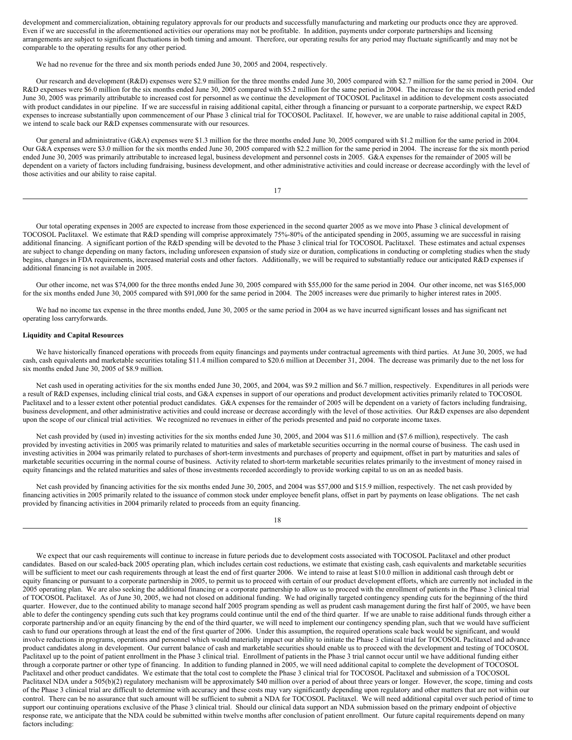development and commercialization, obtaining regulatory approvals for our products and successfully manufacturing and marketing our products once they are approved. Even if we are successful in the aforementioned activities our operations may not be profitable. In addition, payments under corporate partnerships and licensing arrangements are subject to significant fluctuations in both timing and amount. Therefore, our operating results for any period may fluctuate significantly and may not be comparable to the operating results for any other period.

We had no revenue for the three and six month periods ended June 30, 2005 and 2004, respectively.

Our research and development (R&D) expenses were \$2.9 million for the three months ended June 30, 2005 compared with \$2.7 million for the same period in 2004. Our R&D expenses were \$6.0 million for the six months ended June 30, 2005 compared with \$5.2 million for the same period in 2004. The increase for the six month period ended June 30, 2005 was primarily attributable to increased cost for personnel as we continue the development of TOCOSOL Paclitaxel in addition to development costs associated with product candidates in our pipeline. If we are successful in raising additional capital, either through a financing or pursuant to a corporate partnership, we expect R&D expenses to increase substantially upon commencement of our Phase 3 clinical trial for TOCOSOL Paclitaxel. If, however, we are unable to raise additional capital in 2005, we intend to scale back our R&D expenses commensurate with our resources.

Our general and administrative (G&A) expenses were \$1.3 million for the three months ended June 30, 2005 compared with \$1.2 million for the same period in 2004. Our G&A expenses were \$3.0 million for the six months ended June 30, 2005 compared with \$2.2 million for the same period in 2004. The increase for the six month period ended June 30, 2005 was primarily attributable to increased legal, business development and personnel costs in 2005. G&A expenses for the remainder of 2005 will be dependent on a variety of factors including fundraising, business development, and other administrative activities and could increase or decrease accordingly with the level of those activities and our ability to raise capital.

Our total operating expenses in 2005 are expected to increase from those experienced in the second quarter 2005 as we move into Phase 3 clinical development of TOCOSOL Paclitaxel. We estimate that R&D spending will comprise approximately 75%-80% of the anticipated spending in 2005, assuming we are successful in raising additional financing. A significant portion of the R&D spending will be devoted to the Phase 3 clinical trial for TOCOSOL Paclitaxel. These estimates and actual expenses are subject to change depending on many factors, including unforeseen expansion of study size or duration, complications in conducting or completing studies when the study begins, changes in FDA requirements, increased material costs and other factors. Additionally, we will be required to substantially reduce our anticipated R&D expenses if additional financing is not available in 2005.

Our other income, net was \$74,000 for the three months ended June 30, 2005 compared with \$55,000 for the same period in 2004. Our other income, net was \$165,000 for the six months ended June 30, 2005 compared with \$91,000 for the same period in 2004. The 2005 increases were due primarily to higher interest rates in 2005.

We had no income tax expense in the three months ended, June 30, 2005 or the same period in 2004 as we have incurred significant losses and has significant net operating loss carryforwards.

#### **Liquidity and Capital Resources**

We have historically financed operations with proceeds from equity financings and payments under contractual agreements with third parties. At June 30, 2005, we had cash, cash equivalents and marketable securities totaling \$11.4 million compared to \$20.6 million at December 31, 2004. The decrease was primarily due to the net loss for six months ended June 30, 2005 of \$8.9 million.

Net cash used in operating activities for the six months ended June 30, 2005, and 2004, was \$9.2 million and \$6.7 million, respectively. Expenditures in all periods were a result of R&D expenses, including clinical trial costs, and G&A expenses in support of our operations and product development activities primarily related to TOCOSOL Paclitaxel and to a lesser extent other potential product candidates. G&A expenses for the remainder of 2005 will be dependent on a variety of factors including fundraising, business development, and other administrative activities and could increase or decrease accordingly with the level of those activities. Our R&D expenses are also dependent upon the scope of our clinical trial activities. We recognized no revenues in either of the periods presented and paid no corporate income taxes.

Net cash provided by (used in) investing activities for the six months ended June 30, 2005, and 2004 was \$11.6 million and (\$7.6 million), respectively. The cash provided by investing activities in 2005 was primarily related to maturities and sales of marketable securities occurring in the normal course of business. The cash used in investing activities in 2004 was primarily related to purchases of short-term investments and purchases of property and equipment, offset in part by maturities and sales of marketable securities occurring in the normal course of business. Activity related to short-term marketable securities relates primarily to the investment of money raised in equity financings and the related maturities and sales of those investments recorded accordingly to provide working capital to us on an as needed basis.

Net cash provided by financing activities for the six months ended June 30, 2005, and 2004 was \$57,000 and \$15.9 million, respectively. The net cash provided by financing activities in 2005 primarily related to the issuance of common stock under employee benefit plans, offset in part by payments on lease obligations. The net cash provided by financing activities in 2004 primarily related to proceeds from an equity financing.

#### 18

We expect that our cash requirements will continue to increase in future periods due to development costs associated with TOCOSOL Paclitaxel and other product candidates. Based on our scaled-back 2005 operating plan, which includes certain cost reductions, we estimate that existing cash, cash equivalents and marketable securities will be sufficient to meet our cash requirements through at least the end of first quarter 2006. We intend to raise at least \$10.0 million in additional cash through debt or equity financing or pursuant to a corporate partnership in 2005, to permit us to proceed with certain of our product development efforts, which are currently not included in the 2005 operating plan. We are also seeking the additional financing or a corporate partnership to allow us to proceed with the enrollment of patients in the Phase 3 clinical trial of TOCOSOL Paclitaxel. As of June 30, 2005, we had not closed on additional funding. We had originally targeted contingency spending cuts for the beginning of the third quarter. However, due to the continued ability to manage second half 2005 program spending as well as prudent cash management during the first half of 2005, we have been able to defer the contingency spending cuts such that key programs could continue until the end of the third quarter. If we are unable to raise additional funds through either a corporate partnership and/or an equity financing by the end of the third quarter, we will need to implement our contingency spending plan, such that we would have sufficient cash to fund our operations through at least the end of the first quarter of 2006. Under this assumption, the required operations scale back would be significant, and would involve reductions in programs, operations and personnel which would materially impact our ability to initiate the Phase 3 clinical trial for TOCOSOL Paclitaxel and advance product candidates along in development. Our current balance of cash and marketable securities should enable us to proceed with the development and testing of TOCOSOL Paclitaxel up to the point of patient enrollment in the Phase 3 clinical trial. Enrollment of patients in the Phase 3 trial cannot occur until we have additional funding either through a corporate partner or other type of financing. In addition to funding planned in 2005, we will need additional capital to complete the development of TOCOSOL Paclitaxel and other product candidates. We estimate that the total cost to complete the Phase 3 clinical trial for TOCOSOL Paclitaxel and submission of a TOCOSOL Paclitaxel NDA under a 505(b)(2) regulatory mechanism will be approximately \$40 million over a period of about three years or longer. However, the scope, timing and costs of the Phase 3 clinical trial are difficult to determine with accuracy and these costs may vary significantly depending upon regulatory and other matters that are not within our control. There can be no assurance that such amount will be sufficient to submit a NDA for TOCOSOL Paclitaxel. We will need additional capital over such period of time to support our continuing operations exclusive of the Phase 3 clinical trial. Should our clinical data support an NDA submission based on the primary endpoint of objective response rate, we anticipate that the NDA could be submitted within twelve months after conclusion of patient enrollment. Our future capital requirements depend on many factors including: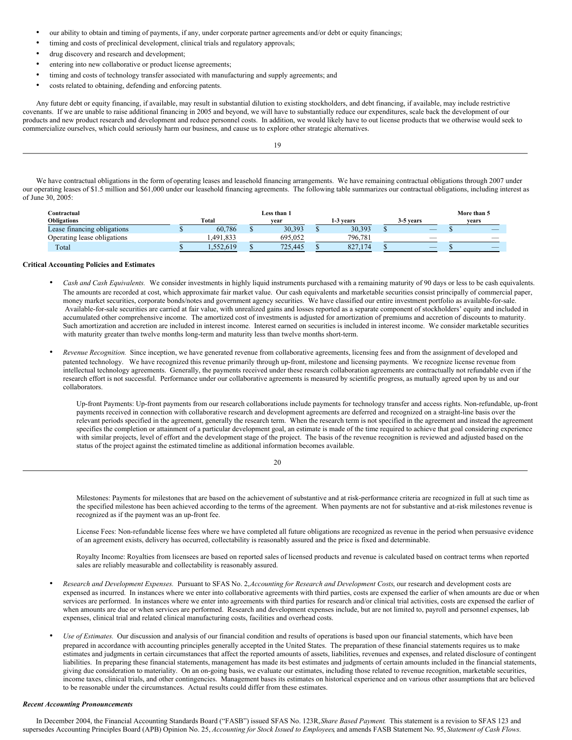- our ability to obtain and timing of payments, if any, under corporate partner agreements and/or debt or equity financings;
- timing and costs of preclinical development, clinical trials and regulatory approvals;
- drug discovery and research and development;
- entering into new collaborative or product license agreements;
- timing and costs of technology transfer associated with manufacturing and supply agreements; and
- costs related to obtaining, defending and enforcing patents.

Any future debt or equity financing, if available, may result in substantial dilution to existing stockholders, and debt financing, if available, may include restrictive covenants. If we are unable to raise additional financing in 2005 and beyond, we will have to substantially reduce our expenditures, scale back the development of our products and new product research and development and reduce personnel costs. In addition, we would likely have to out license products that we otherwise would seek to commercialize ourselves, which could seriously harm our business, and cause us to explore other strategic alternatives.

19

We have contractual obligations in the form of operating leases and leasehold financing arrangements. We have remaining contractual obligations through 2007 under our operating leases of \$1.5 million and \$61,000 under our leasehold financing agreements. The following table summarizes our contractual obligations, including interest as of June 30, 2005:

| Contractual                 |          |  | Less than 1 |  |           |  |                          |  | More than 5 |  |
|-----------------------------|----------|--|-------------|--|-----------|--|--------------------------|--|-------------|--|
| <b>Obligations</b>          | Total    |  | vear        |  | 1-3 vears |  | 3-5 years                |  | vears       |  |
| Lease financing obligations | 60,786   |  | 30.393      |  | 30,393    |  |                          |  |             |  |
| Operating lease obligations | .491.833 |  | 695.052     |  | 796.781   |  |                          |  |             |  |
| Total                       | .552,619 |  | 725,445     |  | 827,174   |  | $\overline{\phantom{a}}$ |  |             |  |

#### **Critical Accounting Policies and Estimates**

- *Cash and Cash Equivalents.* We consider investments in highly liquid instruments purchased with a remaining maturity of 90 days or less to be cash equivalents. The amounts are recorded at cost, which approximate fair market value. Our cash equivalents and marketable securities consist principally of commercial paper, money market securities, corporate bonds/notes and government agency securities. We have classified our entire investment portfolio as available-for-sale. Available-for-sale securities are carried at fair value, with unrealized gains and losses reported as a separate component of stockholders' equity and included in accumulated other comprehensive income. The amortized cost of investments is adjusted for amortization of premiums and accretion of discounts to maturity. Such amortization and accretion are included in interest income. Interest earned on securities is included in interest income. We consider marketable securities with maturity greater than twelve months long-term and maturity less than twelve months short-term.
- Revenue Recognition. Since inception, we have generated revenue from collaborative agreements, licensing fees and from the assignment of developed and patented technology. We have recognized this revenue primarily through up-front, milestone and licensing payments. We recognize license revenue from intellectual technology agreements. Generally, the payments received under these research collaboration agreements are contractually not refundable even if the research effort is not successful. Performance under our collaborative agreements is measured by scientific progress, as mutually agreed upon by us and our collaborators.

Up-front Payments: Up-front payments from our research collaborations include payments for technology transfer and access rights. Non-refundable, up-front payments received in connection with collaborative research and development agreements are deferred and recognized on a straight-line basis over the relevant periods specified in the agreement, generally the research term. When the research term is not specified in the agreement and instead the agreement specifies the completion or attainment of a particular development goal, an estimate is made of the time required to achieve that goal considering experience with similar projects, level of effort and the development stage of the project. The basis of the revenue recognition is reviewed and adjusted based on the status of the project against the estimated timeline as additional information becomes available.

Milestones: Payments for milestones that are based on the achievement of substantive and at risk-performance criteria are recognized in full at such time as the specified milestone has been achieved according to the terms of the agreement. When payments are not for substantive and at-risk milestones revenue is recognized as if the payment was an up-front fee.

License Fees: Non-refundable license fees where we have completed all future obligations are recognized as revenue in the period when persuasive evidence of an agreement exists, delivery has occurred, collectability is reasonably assured and the price is fixed and determinable.

Royalty Income: Royalties from licensees are based on reported sales of licensed products and revenue is calculated based on contract terms when reported sales are reliably measurable and collectability is reasonably assured.

- *Research and Development Expenses.* Pursuant to SFAS No. 2,*Accounting for Research and Development Costs*, our research and development costs are expensed as incurred. In instances where we enter into collaborative agreements with third parties, costs are expensed the earlier of when amounts are due or when services are performed. In instances where we enter into agreements with third parties for research and/or clinical trial activities, costs are expensed the earlier of when amounts are due or when services are performed. Research and development expenses include, but are not limited to, payroll and personnel expenses, lab expenses, clinical trial and related clinical manufacturing costs, facilities and overhead costs.
- *Use of Estimates.* Our discussion and analysis of our financial condition and results of operations is based upon our financial statements, which have been prepared in accordance with accounting principles generally accepted in the United States. The preparation of these financial statements requires us to make estimates and judgments in certain circumstances that affect the reported amounts of assets, liabilities, revenues and expenses, and related disclosure of contingent liabilities. In preparing these financial statements, management has made its best estimates and judgments of certain amounts included in the financial statements, giving due consideration to materiality. On an on-going basis, we evaluate our estimates, including those related to revenue recognition, marketable securities, income taxes, clinical trials, and other contingencies. Management bases its estimates on historical experience and on various other assumptions that are believed to be reasonable under the circumstances. Actual results could differ from these estimates.

#### *Recent Accounting Pronouncements*

In December 2004, the Financial Accounting Standards Board ("FASB") issued SFAS No. 123R,*Share Based Payment*. This statement is a revision to SFAS 123 and supersedes Accounting Principles Board (APB) Opinion No. 25, Accounting for Stock Issued to Employees, and amends FASB Statement No. 95, Statement of Cash Flows.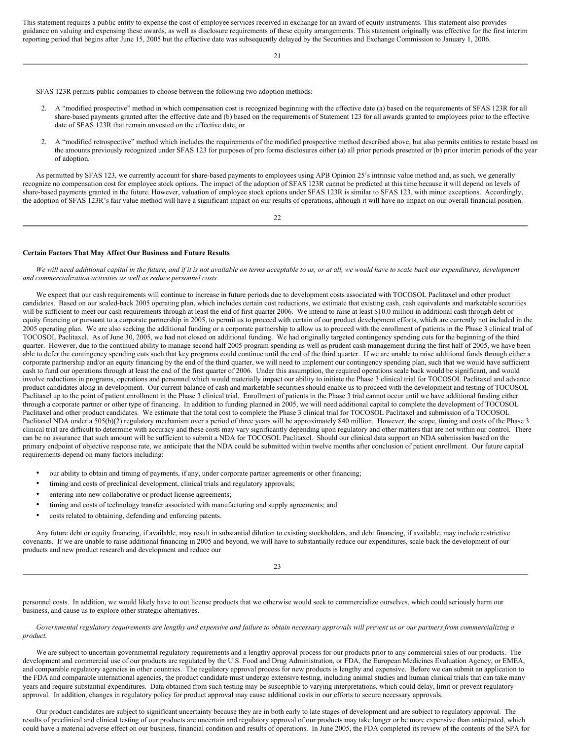This statement requires a public entity to expense the cost of employee services received in exchange for an award of equity instruments. This statement also provides guidance on valuing and expensing these awards, as well as disclosure requirements of these equity arrangements. This statement originally was effective for the first interim reporting period that begins after June 15, 2005 but the effective date was subsequently delayed by the Securities and Exchange Commission to January 1, 2006.

SFAS 123R permits public companies to choose between the following two adoption methods:

- 2. A "modified prospective" method in which compensation cost is recognized beginning with the effective date (a) based on the requirements of SFAS 123R for all share-based payments granted after the effective date and (b) based on the requirements of Statement 123 for all awards granted to employees prior to the effective date of SFAS 123R that remain unvested on the effective date, or
- 2. A "modified retrospective" method which includes the requirements of the modified prospective method described above, but also permits entities to restate based on the amounts previously recognized under SFAS 123 for purposes of pro forma disclosures either (a) all prior periods presented or (b) prior interim periods of the year of adoption.

As permitted by SFAS 123, we currently account for share-based payments to employees using APB Opinion 25's intrinsic value method and, as such, we generally recognize no compensation cost for employee stock options. The impact of the adoption of SFAS 123R cannot be predicted at this time because it will depend on levels of share-based payments granted in the future. However, valuation of employee stock options under SFAS 123R is similar to SFAS 123, with minor exceptions. Accordingly, the adoption of SFAS 123R's fair value method will have a significant impact on our results of operations, although it will have no impact on our overall financial position.

22

#### **Certain Factors That May Affect Our Business and Future Results**

We will need additional capital in the future, and if it is not available on terms acceptable to us, or at all, we would have to scale back our expenditures, development *and commercialization activities as well as reduce personnel costs.*

We expect that our cash requirements will continue to increase in future periods due to development costs associated with TOCOSOL Paclitaxel and other product candidates. Based on our scaled-back 2005 operating plan, which includes certain cost reductions, we estimate that existing cash, cash equivalents and marketable securities will be sufficient to meet our cash requirements through at least the end of first quarter 2006. We intend to raise at least \$10.0 million in additional cash through debt or equity financing or pursuant to a corporate partnership in 2005, to permit us to proceed with certain of our product development efforts, which are currently not included in the 2005 operating plan. We are also seeking the additional funding or a corporate partnership to allow us to proceed with the enrollment of patients in the Phase 3 clinical trial of TOCOSOL Paclitaxel. As of June 30, 2005, we had not closed on additional funding. We had originally targeted contingency spending cuts for the beginning of the third quarter. However, due to the continued ability to manage second half 2005 program spending as well as prudent cash management during the first half of 2005, we have been able to defer the contingency spending cuts such that key programs could continue until the end of the third quarter. If we are unable to raise additional funds through either a corporate partnership and/or an equity financing by the end of the third quarter, we will need to implement our contingency spending plan, such that we would have sufficient cash to fund our operations through at least the end of the first quarter of 2006. Under this assumption, the required operations scale back would be significant, and would involve reductions in programs, operations and personnel which would materially impact our ability to initiate the Phase 3 clinical trial for TOCOSOL Paclitaxel and advance product candidates along in development. Our current balance of cash and marketable securities should enable us to proceed with the development and testing of TOCOSOL Paclitaxel up to the point of patient enrollment in the Phase 3 clinical trial. Enrollment of patients in the Phase 3 trial cannot occur until we have additional funding either through a corporate partner or other type of financing. In addition to funding planned in 2005, we will need additional capital to complete the development of TOCOSOL Paclitaxel and other product candidates. We estimate that the total cost to complete the Phase 3 clinical trial for TOCOSOL Paclitaxel and submission of a TOCOSOL Paclitaxel NDA under a 505(b)(2) regulatory mechanism over a period of three years will be approximately \$40 million. However, the scope, timing and costs of the Phase 3 clinical trial are difficult to determine with accuracy and these costs may vary significantly depending upon regulatory and other matters that are not within our control. There can be no assurance that such amount will be sufficient to submit a NDA for TOCOSOL Paclitaxel. Should our clinical data support an NDA submission based on the primary endpoint of objective response rate, we anticipate that the NDA could be submitted within twelve months after conclusion of patient enrollment. Our future capital requirements depend on many factors including:

- our ability to obtain and timing of payments, if any, under corporate partner agreements or other financing;
- timing and costs of preclinical development, clinical trials and regulatory approvals;
- entering into new collaborative or product license agreements;
- timing and costs of technology transfer associated with manufacturing and supply agreements; and
- costs related to obtaining, defending and enforcing patents.

Any future debt or equity financing, if available, may result in substantial dilution to existing stockholders, and debt financing, if available, may include restrictive covenants. If we are unable to raise additional financing in 2005 and beyond, we will have to substantially reduce our expenditures, scale back the development of our products and new product research and development and reduce our

23

personnel costs. In addition, we would likely have to out license products that we otherwise would seek to commercialize ourselves, which could seriously harm our business, and cause us to explore other strategic alternatives.

Governmental regulatory requirements are lengthy and expensive and failure to obtain necessary approvals will prevent us or our partners from commercializing a *product.*

We are subject to uncertain governmental regulatory requirements and a lengthy approval process for our products prior to any commercial sales of our products. The development and commercial use of our products are regulated by the U.S. Food and Drug Administration, or FDA, the European Medicines Evaluation Agency, or EMEA, and comparable regulatory agencies in other countries. The regulatory approval process for new products is lengthy and expensive. Before we can submit an application to the FDA and comparable international agencies, the product candidate must undergo extensive testing, including animal studies and human clinical trials that can take many years and require substantial expenditures. Data obtained from such testing may be susceptible to varying interpretations, which could delay, limit or prevent regulatory approval. In addition, changes in regulatory policy for product approval may cause additional costs in our efforts to secure necessary approvals.

Our product candidates are subject to significant uncertainty because they are in both early to late stages of development and are subject to regulatory approval. The results of preclinical and clinical testing of our products are uncertain and regulatory approval of our products may take longer or be more expensive than anticipated, which could have a material adverse effect on our business, financial condition and results of operations. In June 2005, the FDA completed its review of the contents of the SPA for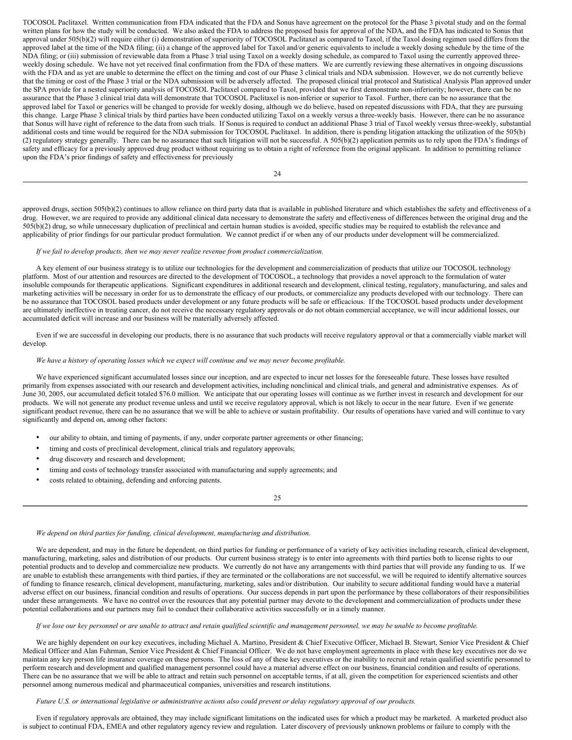TOCOSOL Paclitaxel. Written communication from FDA indicated that the FDA and Sonus have agreement on the protocol for the Phase 3 pivotal study and on the formal written plans for how the study will be conducted. We also asked the FDA to address the proposed basis for approval of the NDA, and the FDA has indicated to Sonus that approval under 505(b)(2) will require either (i) demonstration of superiority of TOCOSOL Paclitaxel as compared to Taxol, if the Taxol dosing regimen used differs from the approved label at the time of the NDA filing; (ii) a change of the approved label for Taxol and/or generic equivalents to include a weekly dosing schedule by the time of the NDA filing; or (iii) submission of reviewable data from a Phase 3 trial using Taxol on a weekly dosing schedule, as compared to Taxol using the currently approved threeweekly dosing schedule. We have not yet received final confirmation from the FDA of these matters. We are currently reviewing these alternatives in ongoing discussions with the FDA and as yet are unable to determine the effect on the timing and cost of our Phase 3 clinical trials and NDA submission. However, we do not currently believe that the timing or cost of the Phase 3 trial or the NDA submission will be adversely affected. The proposed clinical trial protocol and Statistical Analysis Plan approved under the SPA provide for a nested superiority analysis of TOCOSOL Paclitaxel compared to Taxol, provided that we first demonstrate non-inferiority; however, there can be no assurance that the Phase 3 clinical trial data will demonstrate that TOCOSOL Paclitaxel is non-inferior or superior to Taxol. Further, there can be no assurance that the approved label for Taxol or generics will be changed to provide for weekly dosing, although we do believe, based on repeated discussions with FDA, that they are pursuing this change. Large Phase 3 clinical trials by third parties have been conducted utilizing Taxol on a weekly versus a three-weekly basis. However, there can be no assurance that Sonus will have right of reference to the data from such trials. If Sonus is required to conduct an additional Phase 3 trial of Taxol weekly versus three-weekly, substantial additional costs and time would be required for the NDA submission for TOCOSOL Paclitaxel. In addition, there is pending litigation attacking the utilization of the 505(b) (2) regulatory strategy generally. There can be no assurance that such litigation will not be successful. A 505(b)(2) application permits us to rely upon the FDA's findings of safety and efficacy for a previously approved drug product without requiring us to obtain a right of reference from the original applicant. In addition to permitting reliance upon the FDA's prior findings of safety and effectiveness for previously

24

approved drugs, section 505(b)(2) continues to allow reliance on third party data that is available in published literature and which establishes the safety and effectiveness of a drug. However, we are required to provide any additional clinical data necessary to demonstrate the safety and effectiveness of differences between the original drug and the 505(b)(2) drug, so while unnecessary duplication of preclinical and certain human studies is avoided, specific studies may be required to establish the relevance and applicability of prior findings for our particular product formulation. We cannot predict if or when any of our products under development will be commercialized.

#### *If we fail to develop products, then we may never realize revenue from product commercialization.*

A key element of our business strategy is to utilize our technologies for the development and commercialization of products that utilize our TOCOSOL technology platform. Most of our attention and resources are directed to the development of TOCOSOL, a technology that provides a novel approach to the formulation of water insoluble compounds for therapeutic applications. Significant expenditures in additional research and development, clinical testing, regulatory, manufacturing, and sales and marketing activities will be necessary in order for us to demonstrate the efficacy of our products, or commercialize any products developed with our technology. There can be no assurance that TOCOSOL based products under development or any future products will be safe or efficacious. If the TOCOSOL based products under development are ultimately ineffective in treating cancer, do not receive the necessary regulatory approvals or do not obtain commercial acceptance, we will incur additional losses, our accumulated deficit will increase and our business will be materially adversely affected.

Even if we are successful in developing our products, there is no assurance that such products will receive regulatory approval or that a commercially viable market will develop.

#### We have a history of operating losses which we expect will continue and we may never become profitable.

We have experienced significant accumulated losses since our inception, and are expected to incur net losses for the foreseeable future. These losses have resulted primarily from expenses associated with our research and development activities, including nonclinical and clinical trials, and general and administrative expenses. As of June 30, 2005, our accumulated deficit totaled \$76.0 million. We anticipate that our operating losses will continue as we further invest in research and development for our products. We will not generate any product revenue unless and until we receive regulatory approval, which is not likely to occur in the near future. Even if we generate significant product revenue, there can be no assurance that we will be able to achieve or sustain profitability. Our results of operations have varied and will continue to vary significantly and depend on, among other factors:

- our ability to obtain, and timing of payments, if any, under corporate partner agreements or other financing;
- timing and costs of preclinical development, clinical trials and regulatory approvals;
- drug discovery and research and development;
- timing and costs of technology transfer associated with manufacturing and supply agreements; and
- costs related to obtaining, defending and enforcing patents.

25

#### *We depend on third parties for funding, clinical development, manufacturing and distribution.*

We are dependent, and may in the future be dependent, on third parties for funding or performance of a variety of key activities including research, clinical development, manufacturing, marketing, sales and distribution of our products. Our current business strategy is to enter into agreements with third parties both to license rights to our potential products and to develop and commercialize new products. We currently do not have any arrangements with third parties that will provide any funding to us. If we are unable to establish these arrangements with third parties, if they are terminated or the collaborations are not successful, we will be required to identify alternative sources of funding to finance research, clinical development, manufacturing, marketing, sales and/or distribution. Our inability to secure additional funding would have a material adverse effect on our business, financial condition and results of operations. Our success depends in part upon the performance by these collaborators of their responsibilities under these arrangements. We have no control over the resources that any potential partner may devote to the development and commercialization of products under these potential collaborations and our partners may fail to conduct their collaborative activities successfully or in a timely manner.

#### If we lose our key personnel or are unable to attract and retain qualified scientific and management personnel, we may be unable to become profitable.

We are highly dependent on our key executives, including Michael A. Martino, President & Chief Executive Officer, Michael B. Stewart, Senior Vice President & Chief Medical Officer and Alan Fuhrman, Senior Vice President & Chief Financial Officer. We do not have employment agreements in place with these key executives nor do we maintain any key person life insurance coverage on these persons. The loss of any of these key executives or the inability to recruit and retain qualified scientific personnel to perform research and development and qualified management personnel could have a material adverse effect on our business, financial condition and results of operations. There can be no assurance that we will be able to attract and retain such personnel on acceptable terms, if at all, given the competition for experienced scientists and other personnel among numerous medical and pharmaceutical companies, universities and research institutions.

#### Future U.S. or international legislative or administrative actions also could prevent or delay regulatory approval of our products.

Even if regulatory approvals are obtained, they may include significant limitations on the indicated uses for which a product may be marketed. A marketed product also is subject to continual FDA, EMEA and other regulatory agency review and regulation. Later discovery of previously unknown problems or failure to comply with the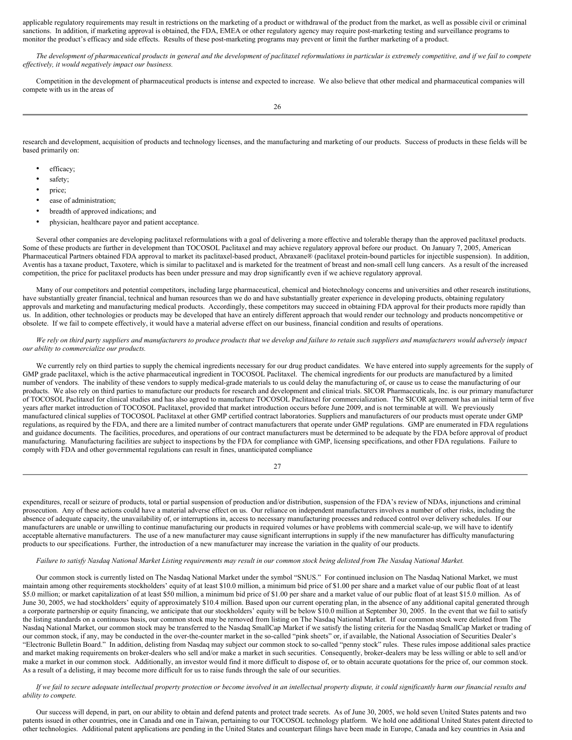applicable regulatory requirements may result in restrictions on the marketing of a product or withdrawal of the product from the market, as well as possible civil or criminal sanctions. In addition, if marketing approval is obtained, the FDA, EMEA or other regulatory agency may require post-marketing testing and surveillance programs to monitor the product's efficacy and side effects. Results of these post-marketing programs may prevent or limit the further marketing of a product.

The development of pharmaceutical products in general and the development of paclitaxel reformulations in particular is extremely competitive, and if we fail to compete *ef ectively, it would negatively impact our business.*

Competition in the development of pharmaceutical products is intense and expected to increase. We also believe that other medical and pharmaceutical companies will compete with us in the areas of

research and development, acquisition of products and technology licenses, and the manufacturing and marketing of our products. Success of products in these fields will be based primarily on:

- efficacy:
- safety;
- price;
- ease of administration:
- breadth of approved indications; and
- physician, healthcare payor and patient acceptance.

Several other companies are developing paclitaxel reformulations with a goal of delivering a more effective and tolerable therapy than the approved paclitaxel products. Some of these products are further in development than TOCOSOL Paclitaxel and may achieve regulatory approval before our product. On January 7, 2005, American Pharmaceutical Partners obtained FDA approval to market its paclitaxel-based product, Abraxane® (paclitaxel protein-bound particles for injectible suspension). In addition, Aventis has a taxane product, Taxotere, which is similar to paclitaxel and is marketed for the treatment of breast and non-small cell lung cancers. As a result of the increased competition, the price for paclitaxel products has been under pressure and may drop significantly even if we achieve regulatory approval.

Many of our competitors and potential competitors, including large pharmaceutical, chemical and biotechnology concerns and universities and other research institutions, have substantially greater financial, technical and human resources than we do and have substantially greater experience in developing products, obtaining regulatory approvals and marketing and manufacturing medical products. Accordingly, these competitors may succeed in obtaining FDA approval for their products more rapidly than us. In addition, other technologies or products may be developed that have an entirely different approach that would render our technology and products noncompetitive or obsolete. If we fail to compete effectively, it would have a material adverse effect on our business, financial condition and results of operations.

#### We rely on third party suppliers and manufacturers to produce products that we develop and failure to retain such suppliers and manufacturers would adversely impact *our ability to commercialize our products.*

We currently rely on third parties to supply the chemical ingredients necessary for our drug product candidates. We have entered into supply agreements for the supply of GMP grade paclitaxel, which is the active pharmaceutical ingredient in TOCOSOL Paclitaxel. The chemical ingredients for our products are manufactured by a limited number of vendors. The inability of these vendors to supply medical-grade materials to us could delay the manufacturing of, or cause us to cease the manufacturing of our products. We also rely on third parties to manufacture our products for research and development and clinical trials. SICOR Pharmaceuticals, Inc. is our primary manufacturer of TOCOSOL Paclitaxel for clinical studies and has also agreed to manufacture TOCOSOL Paclitaxel for commercialization. The SICOR agreement has an initial term of five years after market introduction of TOCOSOL Paclitaxel, provided that market introduction occurs before June 2009, and is not terminable at will. We previously manufactured clinical supplies of TOCOSOL Paclitaxel at other GMP certified contract laboratories. Suppliers and manufacturers of our products must operate under GMP regulations, as required by the FDA, and there are a limited number of contract manufacturers that operate under GMP regulations. GMP are enumerated in FDA regulations and guidance documents. The facilities, procedures, and operations of our contract manufacturers must be determined to be adequate by the FDA before approval of product manufacturing. Manufacturing facilities are subject to inspections by the FDA for compliance with GMP, licensing specifications, and other FDA regulations. Failure to comply with FDA and other governmental regulations can result in fines, unanticipated compliance

expenditures, recall or seizure of products, total or partial suspension of production and/or distribution, suspension of the FDA's review of NDAs, injunctions and criminal prosecution. Any of these actions could have a material adverse effect on us. Our reliance on independent manufacturers involves a number of other risks, including the absence of adequate capacity, the unavailability of, or interruptions in, access to necessary manufacturing processes and reduced control over delivery schedules. If our manufacturers are unable or unwilling to continue manufacturing our products in required volumes or have problems with commercial scale-up, we will have to identify acceptable alternative manufacturers. The use of a new manufacturer may cause significant interruptions in supply if the new manufacturer has difficulty manufacturing products to our specifications. Further, the introduction of a new manufacturer may increase the variation in the quality of our products.

#### Failure to satisfy Nasdaq National Market Listing requirements may result in our common stock being delisted from The Nasdaq National Market.

Our common stock is currently listed on The Nasdaq National Market under the symbol "SNUS." For continued inclusion on The Nasdaq National Market, we must maintain among other requirements stockholders' equity of at least \$10.0 million, a minimum bid price of \$1.00 per share and a market value of our public float of at least \$5.0 million; or market capitalization of at least \$50 million, a minimum bid price of \$1.00 per share and a market value of our public float of at least \$15.0 million. As of June 30, 2005, we had stockholders' equity of approximately \$10.4 million. Based upon our current operating plan, in the absence of any additional capital generated through a corporate partnership or equity financing, we anticipate that our stockholders' equity will be below \$10.0 million at September 30, 2005. In the event that we fail to satisfy the listing standards on a continuous basis, our common stock may be removed from listing on The Nasdaq National Market. If our common stock were delisted from The Nasdaq National Market, our common stock may be transferred to the Nasdaq SmallCap Market if we satisfy the listing criteria for the Nasdaq SmallCap Market or trading of our common stock, if any, may be conducted in the over-the-counter market in the so-called "pink sheets" or, if available, the National Association of Securities Dealer's "Electronic Bulletin Board." In addition, delisting from Nasdaq may subject our common stock to so-called "penny stock" rules. These rules impose additional sales practice and market making requirements on broker-dealers who sell and/or make a market in such securities. Consequently, broker-dealers may be less willing or able to sell and/or make a market in our common stock. Additionally, an investor would find it more difficult to dispose of, or to obtain accurate quotations for the price of, our common stock. As a result of a delisting, it may become more difficult for us to raise funds through the sale of our securities.

If we fail to secure adequate intellectual property protection or become involved in an intellectual property dispute, it could significantly harm our financial results and *ability to compete.*

Our success will depend, in part, on our ability to obtain and defend patents and protect trade secrets. As of June 30, 2005, we hold seven United States patents and two patents issued in other countries, one in Canada and one in Taiwan, pertaining to our TOCOSOL technology platform. We hold one additional United States patent directed to other technologies. Additional patent applications are pending in the United States and counterpart filings have been made in Europe, Canada and key countries in Asia and

<sup>27</sup>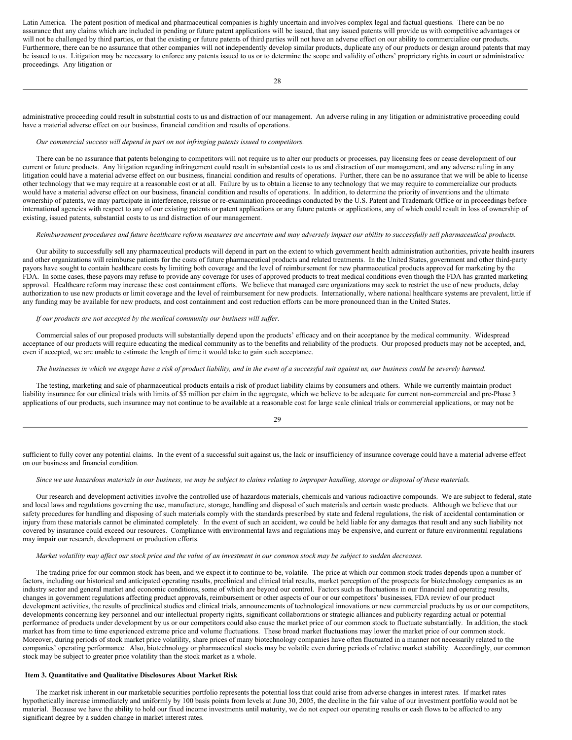Latin America. The patent position of medical and pharmaceutical companies is highly uncertain and involves complex legal and factual questions. There can be no assurance that any claims which are included in pending or future patent applications will be issued, that any issued patents will provide us with competitive advantages or will not be challenged by third parties, or that the existing or future patents of third parties will not have an adverse effect on our ability to commercialize our products. Furthermore, there can be no assurance that other companies will not independently develop similar products, duplicate any of our products or design around patents that may be issued to us. Litigation may be necessary to enforce any patents issued to us or to determine the scope and validity of others' proprietary rights in court or administrative proceedings. Any litigation or

28

administrative proceeding could result in substantial costs to us and distraction of our management. An adverse ruling in any litigation or administrative proceeding could have a material adverse effect on our business, financial condition and results of operations.

#### *Our commercial success will depend in part on not infringing patents issued to competitors.*

There can be no assurance that patents belonging to competitors will not require us to alter our products or processes, pay licensing fees or cease development of our current or future products. Any litigation regarding infringement could result in substantial costs to us and distraction of our management, and any adverse ruling in any litigation could have a material adverse effect on our business, financial condition and results of operations. Further, there can be no assurance that we will be able to license other technology that we may require at a reasonable cost or at all. Failure by us to obtain a license to any technology that we may require to commercialize our products would have a material adverse effect on our business, financial condition and results of operations. In addition, to determine the priority of inventions and the ultimate ownership of patents, we may participate in interference, reissue or re-examination proceedings conducted by the U.S. Patent and Trademark Office or in proceedings before international agencies with respect to any of our existing patents or patent applications or any future patents or applications, any of which could result in loss of ownership of existing, issued patents, substantial costs to us and distraction of our management.

#### Reimbursement procedures and future healthcare reform measures are uncertain and may adversely impact our ability to successfully sell pharmaceutical products.

Our ability to successfully sell any pharmaceutical products will depend in part on the extent to which government health administration authorities, private health insurers and other organizations will reimburse patients for the costs of future pharmaceutical products and related treatments. In the United States, government and other third-party payors have sought to contain healthcare costs by limiting both coverage and the level of reimbursement for new pharmaceutical products approved for marketing by the FDA. In some cases, these payors may refuse to provide any coverage for uses of approved products to treat medical conditions even though the FDA has granted marketing approval. Healthcare reform may increase these cost containment efforts. We believe that managed care organizations may seek to restrict the use of new products, delay authorization to use new products or limit coverage and the level of reimbursement for new products. Internationally, where national healthcare systems are prevalent, little if any funding may be available for new products, and cost containment and cost reduction efforts can be more pronounced than in the United States.

#### *If our products are not accepted by the medical community our business will suf er.*

Commercial sales of our proposed products will substantially depend upon the products' efficacy and on their acceptance by the medical community. Widespread acceptance of our products will require educating the medical community as to the benefits and reliability of the products. Our proposed products may not be accepted, and, even if accepted, we are unable to estimate the length of time it would take to gain such acceptance.

The businesses in which we engage have a risk of product liability, and in the event of a successful suit against us, our business could be severely harmed.

The testing, marketing and sale of pharmaceutical products entails a risk of product liability claims by consumers and others. While we currently maintain product liability insurance for our clinical trials with limits of \$5 million per claim in the aggregate, which we believe to be adequate for current non-commercial and pre-Phase 3 applications of our products, such insurance may not continue to be available at a reasonable cost for large scale clinical trials or commercial applications, or may not be

29

sufficient to fully cover any potential claims. In the event of a successful suit against us, the lack or insufficiency of insurance coverage could have a material adverse effect on our business and financial condition.

#### Since we use hazardous materials in our business, we may be subject to claims relating to improper handling, storage or disposal of these materials.

Our research and development activities involve the controlled use of hazardous materials, chemicals and various radioactive compounds. We are subject to federal, state and local laws and regulations governing the use, manufacture, storage, handling and disposal of such materials and certain waste products. Although we believe that our safety procedures for handling and disposing of such materials comply with the standards prescribed by state and federal regulations, the risk of accidental contamination or injury from these materials cannot be eliminated completely. In the event of such an accident, we could be held liable for any damages that result and any such liability not covered by insurance could exceed our resources. Compliance with environmental laws and regulations may be expensive, and current or future environmental regulations may impair our research, development or production efforts.

### Market volatility may affect our stock price and the value of an investment in our common stock may be subject to sudden decreases.

The trading price for our common stock has been, and we expect it to continue to be, volatile. The price at which our common stock trades depends upon a number of factors, including our historical and anticipated operating results, preclinical and clinical trial results, market perception of the prospects for biotechnology companies as an industry sector and general market and economic conditions, some of which are beyond our control. Factors such as fluctuations in our financial and operating results, changes in government regulations affecting product approvals, reimbursement or other aspects of our or our competitors' businesses, FDA review of our product development activities, the results of preclinical studies and clinical trials, announcements of technological innovations or new commercial products by us or our competitors, developments concerning key personnel and our intellectual property rights, significant collaborations or strategic alliances and publicity regarding actual or potential performance of products under development by us or our competitors could also cause the market price of our common stock to fluctuate substantially. In addition, the stock market has from time to time experienced extreme price and volume fluctuations. These broad market fluctuations may lower the market price of our common stock. Moreover, during periods of stock market price volatility, share prices of many biotechnology companies have often fluctuated in a manner not necessarily related to the companies' operating performance. Also, biotechnology or pharmaceutical stocks may be volatile even during periods of relative market stability. Accordingly, our common stock may be subject to greater price volatility than the stock market as a whole.

#### <span id="page-13-0"></span>**Item 3. Quantitative and Qualitative Disclosures About Market Risk**

The market risk inherent in our marketable securities portfolio represents the potential loss that could arise from adverse changes in interest rates. If market rates hypothetically increase immediately and uniformly by 100 basis points from levels at June 30, 2005, the decline in the fair value of our investment portfolio would not be material. Because we have the ability to hold our fixed income investments until maturity, we do not expect our operating results or cash flows to be affected to any significant degree by a sudden change in market interest rates.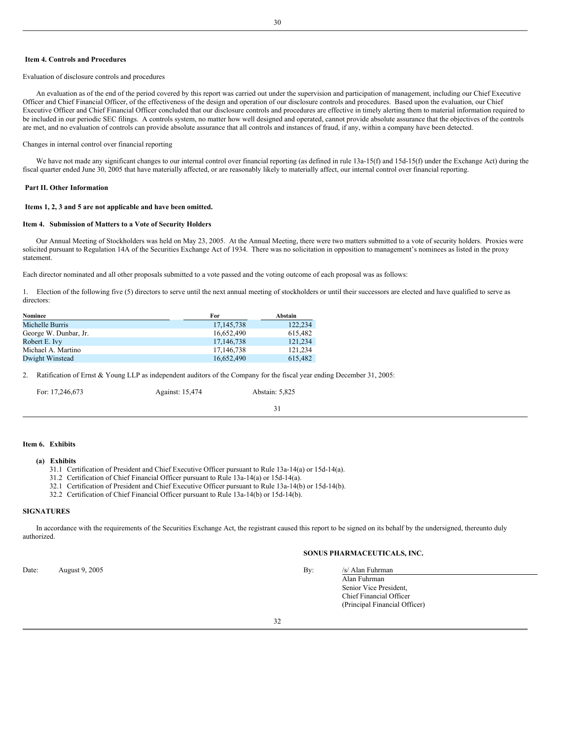#### <span id="page-14-0"></span>**Item 4. Controls and Procedures**

#### Evaluation of disclosure controls and procedures

An evaluation as of the end of the period covered by this report was carried out under the supervision and participation of management, including our Chief Executive Officer and Chief Financial Officer, of the effectiveness of the design and operation of our disclosure controls and procedures. Based upon the evaluation, our Chief Executive Officer and Chief Financial Officer concluded that our disclosure controls and procedures are effective in timely alerting them to material information required to be included in our periodic SEC filings. A controls system, no matter how well designed and operated, cannot provide absolute assurance that the objectives of the controls are met, and no evaluation of controls can provide absolute assurance that all controls and instances of fraud, if any, within a company have been detected.

#### Changes in internal control over financial reporting

We have not made any significant changes to our internal control over financial reporting (as defined in rule 13a-15(f) and 15d-15(f) under the Exchange Act) during the fiscal quarter ended June 30, 2005 that have materially affected, or are reasonably likely to materially affect, our internal control over financial reporting.

#### <span id="page-14-1"></span>**Part II. Other Information**

#### <span id="page-14-4"></span>**Items 1, 2, 3 and 5 are not applicable and have been omitted.**

#### <span id="page-14-2"></span>**Item 4. Submission of Matters to a Vote of Security Holders**

Our Annual Meeting of Stockholders was held on May 23, 2005. At the Annual Meeting, there were two matters submitted to a vote of security holders. Proxies were solicited pursuant to Regulation 14A of the Securities Exchange Act of 1934. There was no solicitation in opposition to management's nominees as listed in the proxy statement.

Each director nominated and all other proposals submitted to a vote passed and the voting outcome of each proposal was as follows:

1. Election of the following five (5) directors to serve until the next annual meeting of stockholders or until their successors are elected and have qualified to serve as directors:

| Nominee               | For          | Abstain |
|-----------------------|--------------|---------|
| Michelle Burris       | 17, 145, 738 | 122,234 |
| George W. Dunbar, Jr. | 16,652,490   | 615,482 |
| Robert E. Ivy         | 17, 146, 738 | 121.234 |
| Michael A. Martino    | 17, 146, 738 | 121.234 |
| Dwight Winstead       | 16.652.490   | 615.482 |

2. Ratification of Ernst & Young LLP as independent auditors of the Company for the fiscal year ending December 31, 2005:

| For: 17,246,673 | Against: 15,474 | Abstain: 5,825 |  |
|-----------------|-----------------|----------------|--|
|                 |                 |                |  |

#### **Item 6. Exhibits**

#### <span id="page-14-3"></span>**(a) Exhibits**

- 31.1 Certification of President and Chief Executive Officer pursuant to Rule 13a-14(a) or 15d-14(a).
- 31.2 Certification of Chief Financial Officer pursuant to Rule 13a-14(a) or 15d-14(a).
- 32.1 Certification of President and Chief Executive Officer pursuant to Rule 13a-14(b) or 15d-14(b).
- 32.2 Certification of Chief Financial Officer pursuant to Rule 13a-14(b) or 15d-14(b).

#### **SIGNATURES**

In accordance with the requirements of the Securities Exchange Act, the registrant caused this report to be signed on its behalf by the undersigned, thereunto duly authorized.

#### **SONUS PHARMACEUTICALS, INC.**

Date: August 9, 2005 By: /s/ Alan Fuhrman

Alan Fuhrman Senior Vice President, Chief Financial Officer (Principal Financial Officer)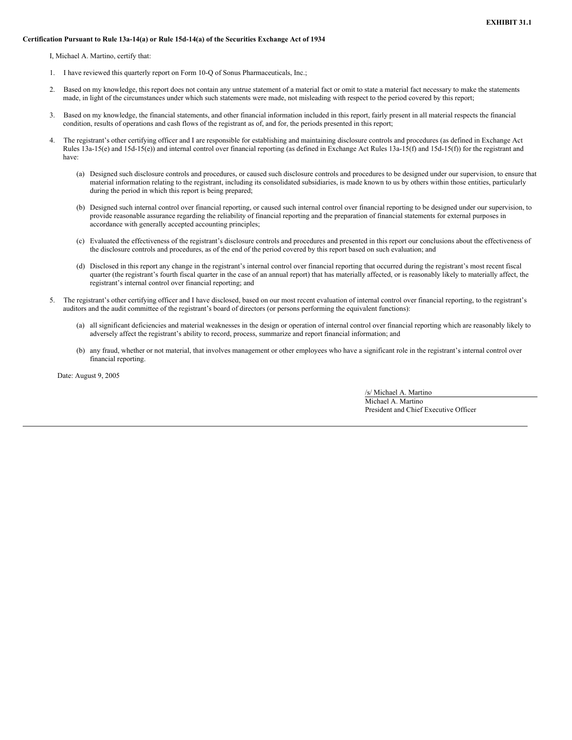#### **Certification Pursuant to Rule 13a-14(a) or Rule 15d-14(a) of the Securities Exchange Act of 1934**

I, Michael A. Martino, certify that:

- 1. I have reviewed this quarterly report on Form 10-Q of Sonus Pharmaceuticals, Inc.;
- 2. Based on my knowledge, this report does not contain any untrue statement of a material fact or omit to state a material fact necessary to make the statements made, in light of the circumstances under which such statements were made, not misleading with respect to the period covered by this report;
- 3. Based on my knowledge, the financial statements, and other financial information included in this report, fairly present in all material respects the financial condition, results of operations and cash flows of the registrant as of, and for, the periods presented in this report;
- 4. The registrant's other certifying officer and I are responsible for establishing and maintaining disclosure controls and procedures (as defined in Exchange Act Rules 13a-15(e) and 15d-15(e)) and internal control over financial reporting (as defined in Exchange Act Rules 13a-15(f) and 15d-15(f)) for the registrant and have:
	- (a) Designed such disclosure controls and procedures, or caused such disclosure controls and procedures to be designed under our supervision, to ensure that material information relating to the registrant, including its consolidated subsidiaries, is made known to us by others within those entities, particularly during the period in which this report is being prepared;
	- (b) Designed such internal control over financial reporting, or caused such internal control over financial reporting to be designed under our supervision, to provide reasonable assurance regarding the reliability of financial reporting and the preparation of financial statements for external purposes in accordance with generally accepted accounting principles;
	- (c) Evaluated the effectiveness of the registrant's disclosure controls and procedures and presented in this report our conclusions about the effectiveness of the disclosure controls and procedures, as of the end of the period covered by this report based on such evaluation; and
	- (d) Disclosed in this report any change in the registrant's internal control over financial reporting that occurred during the registrant's most recent fiscal quarter (the registrant's fourth fiscal quarter in the case of an annual report) that has materially affected, or is reasonably likely to materially affect, the registrant's internal control over financial reporting; and
- 5. The registrant's other certifying officer and I have disclosed, based on our most recent evaluation of internal control over financial reporting, to the registrant's auditors and the audit committee of the registrant's board of directors (or persons performing the equivalent functions):
	- (a) all significant deficiencies and material weaknesses in the design or operation of internal control over financial reporting which are reasonably likely to adversely affect the registrant's ability to record, process, summarize and report financial information; and
	- (b) any fraud, whether or not material, that involves management or other employees who have a significant role in the registrant's internal control over financial reporting.

Date: August 9, 2005

/s/ Michael A. Martino Michael A. Martino President and Chief Executive Officer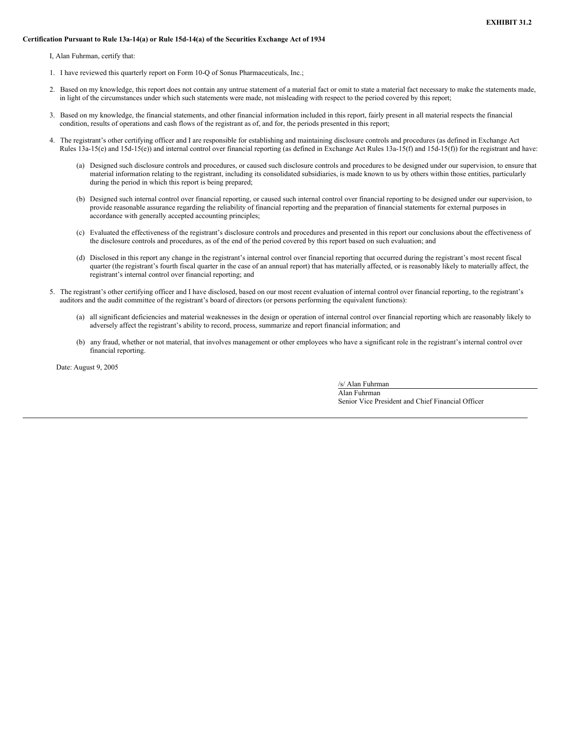#### **Certification Pursuant to Rule 13a-14(a) or Rule 15d-14(a) of the Securities Exchange Act of 1934**

I, Alan Fuhrman, certify that:

- 1. I have reviewed this quarterly report on Form 10-Q of Sonus Pharmaceuticals, Inc.;
- 2. Based on my knowledge, this report does not contain any untrue statement of a material fact or omit to state a material fact necessary to make the statements made, in light of the circumstances under which such statements were made, not misleading with respect to the period covered by this report;
- 3. Based on my knowledge, the financial statements, and other financial information included in this report, fairly present in all material respects the financial condition, results of operations and cash flows of the registrant as of, and for, the periods presented in this report;
- 4. The registrant's other certifying officer and I are responsible for establishing and maintaining disclosure controls and procedures (as defined in Exchange Act Rules 13a-15(e) and 15d-15(e)) and internal control over financial reporting (as defined in Exchange Act Rules 13a-15(f) and 15d-15(f)) for the registrant and have:
	- (a) Designed such disclosure controls and procedures, or caused such disclosure controls and procedures to be designed under our supervision, to ensure that material information relating to the registrant, including its consolidated subsidiaries, is made known to us by others within those entities, particularly during the period in which this report is being prepared;
	- (b) Designed such internal control over financial reporting, or caused such internal control over financial reporting to be designed under our supervision, to provide reasonable assurance regarding the reliability of financial reporting and the preparation of financial statements for external purposes in accordance with generally accepted accounting principles;
	- (c) Evaluated the effectiveness of the registrant's disclosure controls and procedures and presented in this report our conclusions about the effectiveness of the disclosure controls and procedures, as of the end of the period covered by this report based on such evaluation; and
	- (d) Disclosed in this report any change in the registrant's internal control over financial reporting that occurred during the registrant's most recent fiscal quarter (the registrant's fourth fiscal quarter in the case of an annual report) that has materially affected, or is reasonably likely to materially affect, the registrant's internal control over financial reporting; and
- 5. The registrant's other certifying officer and I have disclosed, based on our most recent evaluation of internal control over financial reporting, to the registrant's auditors and the audit committee of the registrant's board of directors (or persons performing the equivalent functions):
	- (a) all significant deficiencies and material weaknesses in the design or operation of internal control over financial reporting which are reasonably likely to adversely affect the registrant's ability to record, process, summarize and report financial information; and
	- (b) any fraud, whether or not material, that involves management or other employees who have a significant role in the registrant's internal control over financial reporting.

Date: August 9, 2005

/s/ Alan Fuhrman Alan Fuhrman

Senior Vice President and Chief Financial Officer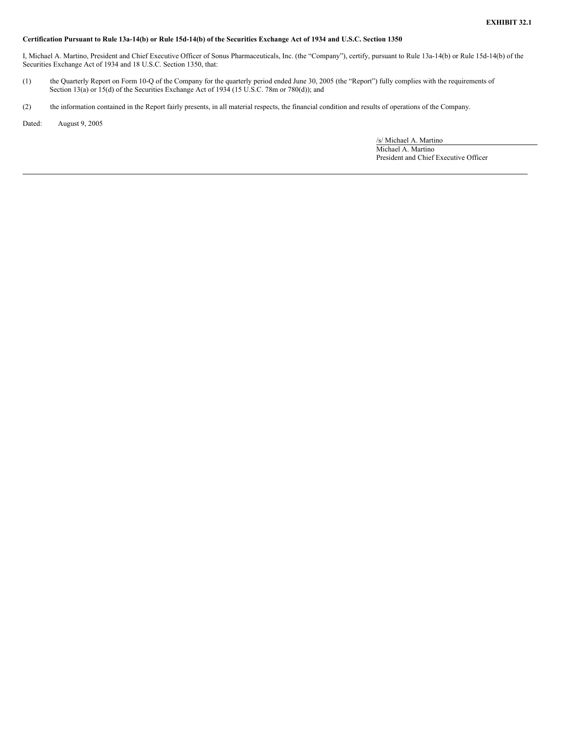#### Certification Pursuant to Rule 13a-14(b) or Rule 15d-14(b) of the Securities Exchange Act of 1934 and U.S.C. Section 1350

I, Michael A. Martino, President and Chief Executive Officer of Sonus Pharmaceuticals, Inc. (the "Company"), certify, pursuant to Rule 13a-14(b) or Rule 15d-14(b) of the Securities Exchange Act of 1934 and 18 U.S.C. Section 1350, that:

- (1) the Quarterly Report on Form 10-Q of the Company for the quarterly period ended June 30, 2005 (the "Report") fully complies with the requirements of Section 13(a) or 15(d) of the Securities Exchange Act of 1934 (15 U.S.C. 78m or 780(d)); and
- (2) the information contained in the Report fairly presents, in all material respects, the financial condition and results of operations of the Company.

Dated: August 9, 2005

/s/ Michael A. Martino Michael A. Martino President and Chief Executive Officer